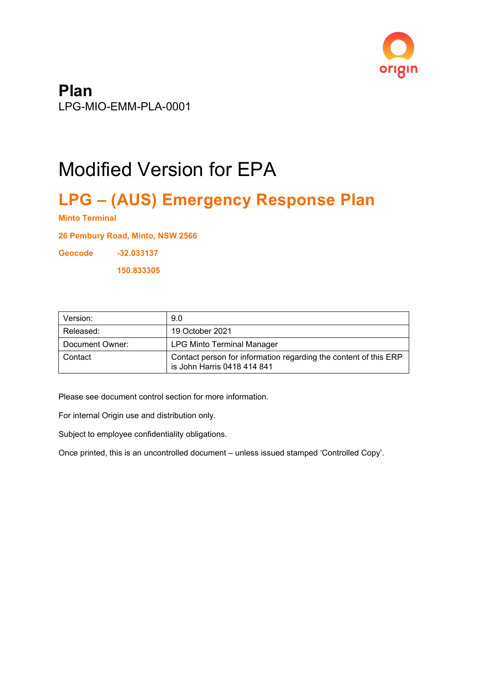

**Plan** LPG-MIO-EMM-PLA-0001

# Modified Version for EPA

# **LPG – (AUS) Emergency Response Plan**

**Minto Terminal**

**26 Pembury Road, Minto, NSW 2566**

**Geocode -32.033137**

**150.833305**

| Version:        | 9.0                                                                                             |
|-----------------|-------------------------------------------------------------------------------------------------|
| Released:       | 19 October 2021                                                                                 |
| Document Owner: | <b>LPG Minto Terminal Manager</b>                                                               |
| l Contact       | Contact person for information regarding the content of this ERP<br>is John Harris 0418 414 841 |

Please see document control section for more information.

For internal Origin use and distribution only.

Subject to employee confidentiality obligations.

Once printed, this is an uncontrolled document – unless issued stamped 'Controlled Copy'.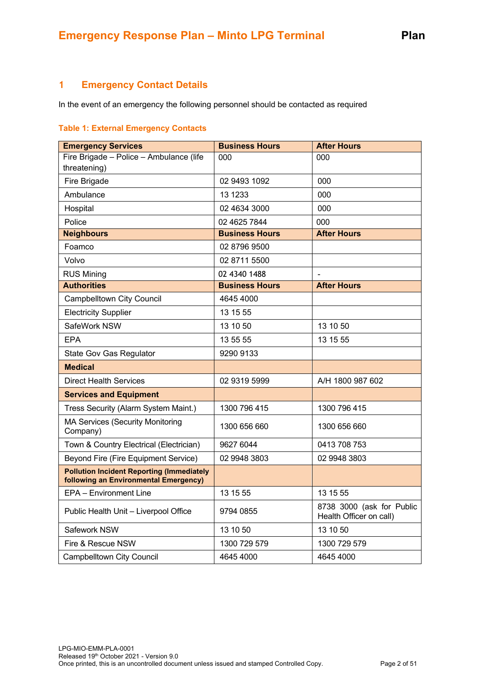# <span id="page-1-0"></span>**1 Emergency Contact Details**

In the event of an emergency the following personnel should be contacted as required

#### <span id="page-1-1"></span>**Table 1: External Emergency Contacts**

| <b>Emergency Services</b>                                                                 | <b>Business Hours</b> | <b>After Hours</b>                                   |
|-------------------------------------------------------------------------------------------|-----------------------|------------------------------------------------------|
| Fire Brigade - Police - Ambulance (life<br>threatening)                                   | 000                   | 000                                                  |
| Fire Brigade                                                                              | 02 9493 1092          | 000                                                  |
| Ambulance                                                                                 | 13 1233               | 000                                                  |
| Hospital                                                                                  | 02 4634 3000          | 000                                                  |
| Police                                                                                    | 02 4625 7844          | 000                                                  |
| <b>Neighbours</b>                                                                         | <b>Business Hours</b> | <b>After Hours</b>                                   |
| Foamco                                                                                    | 02 8796 9500          |                                                      |
| Volvo                                                                                     | 02 8711 5500          |                                                      |
| <b>RUS Mining</b>                                                                         | 02 4340 1488          |                                                      |
| <b>Authorities</b>                                                                        | <b>Business Hours</b> | <b>After Hours</b>                                   |
| <b>Campbelltown City Council</b>                                                          | 4645 4000             |                                                      |
| <b>Electricity Supplier</b>                                                               | 13 15 55              |                                                      |
| SafeWork NSW                                                                              | 13 10 50              | 13 10 50                                             |
| <b>EPA</b>                                                                                | 13 55 55              | 13 15 55                                             |
| <b>State Gov Gas Regulator</b>                                                            | 9290 9133             |                                                      |
| <b>Medical</b>                                                                            |                       |                                                      |
| <b>Direct Health Services</b>                                                             | 02 9319 5999          | A/H 1800 987 602                                     |
| <b>Services and Equipment</b>                                                             |                       |                                                      |
| Tress Security (Alarm System Maint.)                                                      | 1300 796 415          | 1300 796 415                                         |
| <b>MA Services (Security Monitoring</b><br>Company)                                       | 1300 656 660          | 1300 656 660                                         |
| Town & Country Electrical (Electrician)                                                   | 9627 6044             | 0413 708 753                                         |
| <b>Beyond Fire (Fire Equipment Service)</b>                                               | 02 9948 3803          | 02 9948 3803                                         |
| <b>Pollution Incident Reporting (Immediately</b><br>following an Environmental Emergency) |                       |                                                      |
| EPA - Environment Line                                                                    | 13 15 55              | 13 15 55                                             |
| Public Health Unit - Liverpool Office                                                     | 9794 0855             | 8738 3000 (ask for Public<br>Health Officer on call) |
| Safework NSW                                                                              | 13 10 50              | 13 10 50                                             |
| Fire & Rescue NSW                                                                         | 1300 729 579          | 1300 729 579                                         |
| <b>Campbelltown City Council</b>                                                          | 4645 4000             | 4645 4000                                            |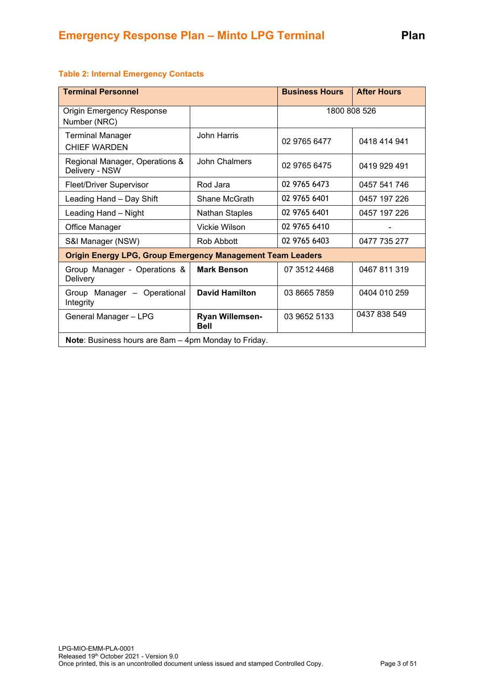| <b>Terminal Personnel</b>                                         |                                | <b>Business Hours</b> | <b>After Hours</b> |
|-------------------------------------------------------------------|--------------------------------|-----------------------|--------------------|
| <b>Origin Emergency Response</b><br>Number (NRC)                  |                                |                       | 1800 808 526       |
| <b>Terminal Manager</b><br><b>CHIEF WARDEN</b>                    | <b>John Harris</b>             | 02 9765 6477          | 0418 414 941       |
| Regional Manager, Operations &<br>Delivery - NSW                  | John Chalmers                  | 02 9765 6475          | 0419 929 491       |
| <b>Fleet/Driver Supervisor</b>                                    | Rod Jara                       | 02 9765 6473          | 0457 541 746       |
| Leading Hand - Day Shift                                          | Shane McGrath                  | 02 9765 6401          | 0457 197 226       |
| Leading Hand - Night                                              | <b>Nathan Staples</b>          | 02 9765 6401          | 0457 197 226       |
| Office Manager                                                    | Vickie Wilson                  | 02 9765 6410          |                    |
| S&I Manager (NSW)                                                 | Rob Abbott                     | 02 9765 6403          | 0477 735 277       |
| <b>Origin Energy LPG, Group Emergency Management Team Leaders</b> |                                |                       |                    |
| Group Manager - Operations &<br>Delivery                          | <b>Mark Benson</b>             | 07 3512 4468          | 0467 811 319       |
| Group Manager - Operational<br>Integrity                          | <b>David Hamilton</b>          | 03 8665 7859          | 0404 010 259       |
| General Manager - LPG                                             | Ryan Willemsen-<br><b>Bell</b> | 03 9652 5133          | 0437 838 549       |
| Note: Business hours are 8am - 4pm Monday to Friday.              |                                |                       |                    |

#### **Table 2: Internal Emergency Contacts**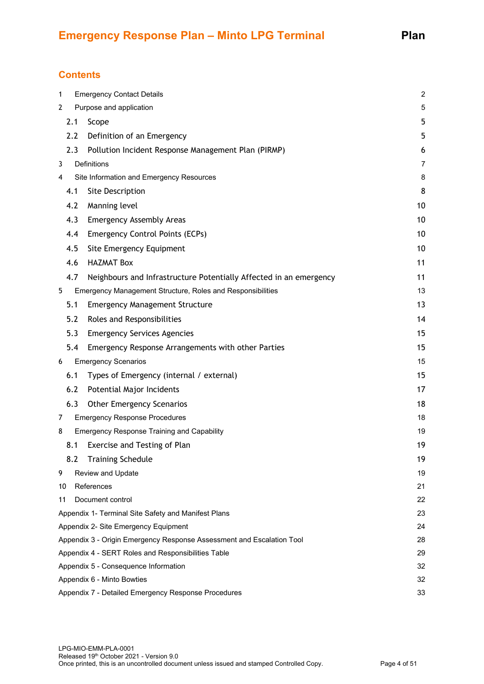# **Contents**

| 1  | <b>Emergency Contact Details</b><br>$\boldsymbol{2}$                        |                                                                    |    |
|----|-----------------------------------------------------------------------------|--------------------------------------------------------------------|----|
| 2  | Purpose and application<br>5                                                |                                                                    |    |
|    | 2.1                                                                         | Scope                                                              | 5  |
|    | 2.2                                                                         | Definition of an Emergency                                         | 5  |
|    | 2.3                                                                         | Pollution Incident Response Management Plan (PIRMP)                | 6  |
| 3  |                                                                             | <b>Definitions</b>                                                 | 7  |
| 4  |                                                                             | Site Information and Emergency Resources                           | 8  |
|    | 4.1                                                                         | Site Description                                                   | 8  |
|    | 4.2                                                                         | Manning level                                                      | 10 |
|    | 4.3                                                                         | <b>Emergency Assembly Areas</b>                                    | 10 |
|    | 4.4                                                                         | <b>Emergency Control Points (ECPs)</b>                             | 10 |
|    | 4.5                                                                         | Site Emergency Equipment                                           | 10 |
|    | 4.6                                                                         | <b>HAZMAT Box</b>                                                  | 11 |
|    | 4.7                                                                         | Neighbours and Infrastructure Potentially Affected in an emergency | 11 |
| 5  |                                                                             | Emergency Management Structure, Roles and Responsibilities         | 13 |
|    | 5.1                                                                         | <b>Emergency Management Structure</b>                              | 13 |
|    | 5.2                                                                         | Roles and Responsibilities                                         | 14 |
|    | 5.3                                                                         | <b>Emergency Services Agencies</b>                                 | 15 |
|    | 5.4                                                                         | Emergency Response Arrangements with other Parties                 | 15 |
| 6  |                                                                             | <b>Emergency Scenarios</b>                                         | 15 |
|    | 6.1                                                                         | Types of Emergency (internal / external)                           | 15 |
|    | 6.2                                                                         | Potential Major Incidents                                          | 17 |
|    | 6.3                                                                         | <b>Other Emergency Scenarios</b>                                   | 18 |
| 7  |                                                                             | <b>Emergency Response Procedures</b>                               | 18 |
| 8  |                                                                             | <b>Emergency Response Training and Capability</b>                  | 19 |
|    | 8.1                                                                         | Exercise and Testing of Plan                                       | 19 |
|    | 8.2                                                                         | <b>Training Schedule</b>                                           | 19 |
| 9  |                                                                             | Review and Update                                                  | 19 |
| 10 |                                                                             | References                                                         | 21 |
| 11 |                                                                             | Document control                                                   | 22 |
|    |                                                                             | Appendix 1- Terminal Site Safety and Manifest Plans                | 23 |
|    |                                                                             | Appendix 2- Site Emergency Equipment                               | 24 |
|    | Appendix 3 - Origin Emergency Response Assessment and Escalation Tool<br>28 |                                                                    |    |
|    |                                                                             | Appendix 4 - SERT Roles and Responsibilities Table                 | 29 |
|    | Appendix 5 - Consequence Information<br>32                                  |                                                                    |    |
|    |                                                                             | Appendix 6 - Minto Bowties                                         | 32 |
|    |                                                                             | Appendix 7 - Detailed Emergency Response Procedures                | 33 |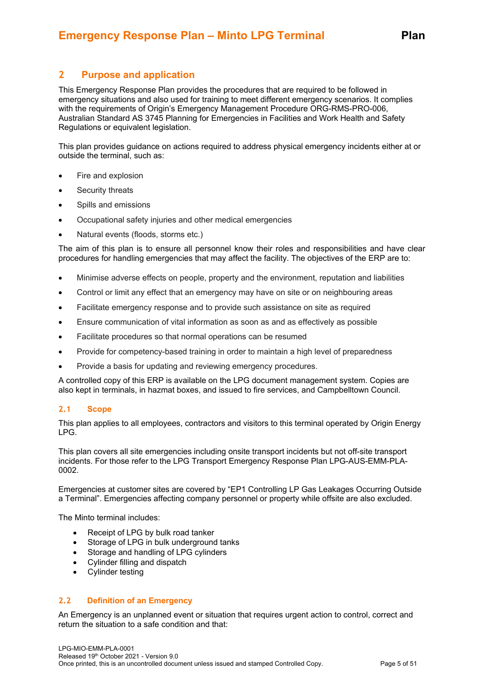# <span id="page-4-0"></span>**2 Purpose and application**

This Emergency Response Plan provides the procedures that are required to be followed in emergency situations and also used for training to meet different emergency scenarios. It complies with the requirements of Origin's Emergency Management Procedure ORG-RMS-PRO-006, Australian Standard AS 3745 Planning for Emergencies in Facilities and Work Health and Safety Regulations or equivalent legislation.

This plan provides guidance on actions required to address physical emergency incidents either at or outside the terminal, such as:

- Fire and explosion
- Security threats
- Spills and emissions
- Occupational safety injuries and other medical emergencies
- Natural events (floods, storms etc.)

The aim of this plan is to ensure all personnel know their roles and responsibilities and have clear procedures for handling emergencies that may affect the facility. The objectives of the ERP are to:

- Minimise adverse effects on people, property and the environment, reputation and liabilities
- Control or limit any effect that an emergency may have on site or on neighbouring areas
- Facilitate emergency response and to provide such assistance on site as required
- Ensure communication of vital information as soon as and as effectively as possible
- Facilitate procedures so that normal operations can be resumed
- Provide for competency-based training in order to maintain a high level of preparedness
- Provide a basis for updating and reviewing emergency procedures.

A controlled copy of this ERP is available on the LPG document management system. Copies are also kept in terminals, in hazmat boxes, and issued to fire services, and Campbelltown Council.

#### <span id="page-4-1"></span>**2.1 Scope**

This plan applies to all employees, contractors and visitors to this terminal operated by Origin Energy LPG.

This plan covers all site emergencies including onsite transport incidents but not off-site transport incidents. For those refer to the LPG Transport Emergency Response Plan LPG-AUS-EMM-PLA-0002.

Emergencies at customer sites are covered by "EP1 Controlling LP Gas Leakages Occurring Outside a Terminal". Emergencies affecting company personnel or property while offsite are also excluded.

The Minto terminal includes:

- Receipt of LPG by bulk road tanker
- Storage of LPG in bulk underground tanks
- Storage and handling of LPG cylinders
- Cylinder filling and dispatch
- Cylinder testing

#### <span id="page-4-2"></span>**2.2 Definition of an Emergency**

An Emergency is an unplanned event or situation that requires urgent action to control, correct and return the situation to a safe condition and that: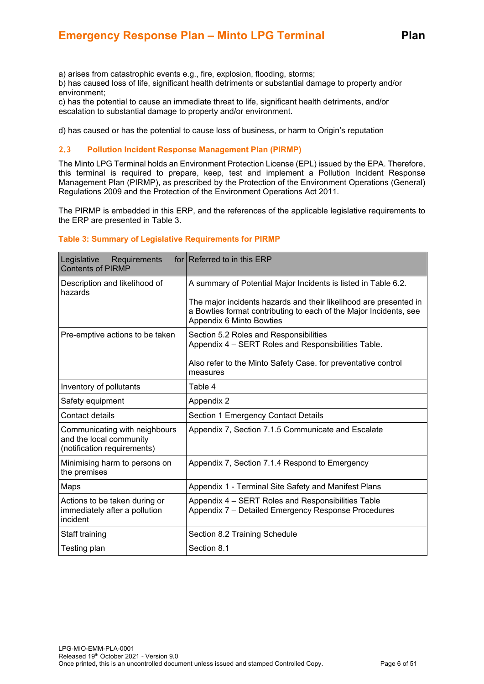a) arises from catastrophic events e.g., fire, explosion, flooding, storms;

b) has caused loss of life, significant health detriments or substantial damage to property and/or environment;

c) has the potential to cause an immediate threat to life, significant health detriments, and/or escalation to substantial damage to property and/or environment.

d) has caused or has the potential to cause loss of business, or harm to Origin's reputation

#### <span id="page-5-0"></span>**2.3 Pollution Incident Response Management Plan (PIRMP)**

The Minto LPG Terminal holds an Environment Protection License (EPL) issued by the EPA. Therefore, this terminal is required to prepare, keep, test and implement a Pollution Incident Response Management Plan (PIRMP), as prescribed by the Protection of the Environment Operations (General) Regulations 2009 and the Protection of the Environment Operations Act 2011.

The PIRMP is embedded in this ERP, and the references of the applicable legislative requirements to the ERP are presented in Table 3.

| Legislative<br>Requirements<br><b>Contents of PIRMP</b>                                 | for Referred to in this ERP                                                                                                                                        |
|-----------------------------------------------------------------------------------------|--------------------------------------------------------------------------------------------------------------------------------------------------------------------|
| Description and likelihood of<br>hazards                                                | A summary of Potential Major Incidents is listed in Table 6.2.                                                                                                     |
|                                                                                         | The major incidents hazards and their likelihood are presented in<br>a Bowties format contributing to each of the Major Incidents, see<br>Appendix 6 Minto Bowties |
| Pre-emptive actions to be taken                                                         | Section 5.2 Roles and Responsibilities<br>Appendix 4 - SERT Roles and Responsibilities Table.                                                                      |
|                                                                                         | Also refer to the Minto Safety Case. for preventative control<br>measures                                                                                          |
| Inventory of pollutants                                                                 | Table 4                                                                                                                                                            |
| Safety equipment                                                                        | Appendix 2                                                                                                                                                         |
| Contact details                                                                         | Section 1 Emergency Contact Details                                                                                                                                |
| Communicating with neighbours<br>and the local community<br>(notification requirements) | Appendix 7, Section 7.1.5 Communicate and Escalate                                                                                                                 |
| Minimising harm to persons on<br>the premises                                           | Appendix 7, Section 7.1.4 Respond to Emergency                                                                                                                     |
| Maps                                                                                    | Appendix 1 - Terminal Site Safety and Manifest Plans                                                                                                               |
| Actions to be taken during or<br>immediately after a pollution<br>incident              | Appendix 4 – SERT Roles and Responsibilities Table<br>Appendix 7 - Detailed Emergency Response Procedures                                                          |
| Staff training                                                                          | Section 8.2 Training Schedule                                                                                                                                      |
| Testing plan                                                                            | Section 8.1                                                                                                                                                        |

#### **Table 3: Summary of Legislative Requirements for PIRMP**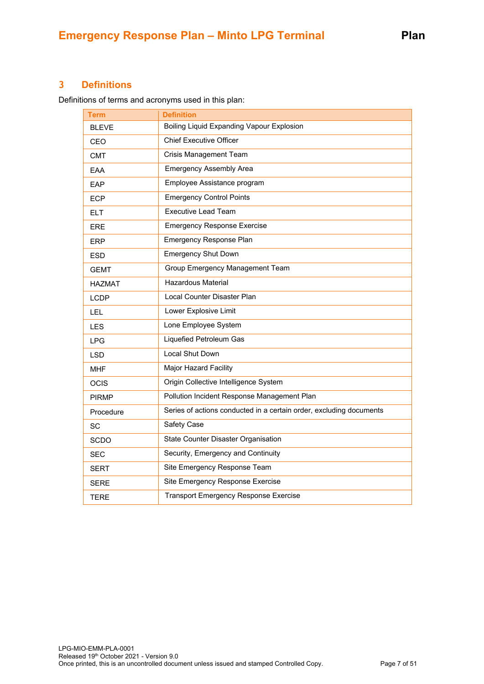# <span id="page-6-0"></span>**3 Definitions**

Definitions of terms and acronyms used in this plan:

| Term          | <b>Definition</b>                                                   |  |
|---------------|---------------------------------------------------------------------|--|
| <b>BLEVE</b>  | Boiling Liquid Expanding Vapour Explosion                           |  |
| CEO           | <b>Chief Executive Officer</b>                                      |  |
| <b>CMT</b>    | <b>Crisis Management Team</b>                                       |  |
| EAA           | <b>Emergency Assembly Area</b>                                      |  |
| EAP           | Employee Assistance program                                         |  |
| <b>ECP</b>    | <b>Emergency Control Points</b>                                     |  |
| <b>ELT</b>    | <b>Executive Lead Team</b>                                          |  |
| <b>ERE</b>    | <b>Emergency Response Exercise</b>                                  |  |
| <b>ERP</b>    | Emergency Response Plan                                             |  |
| <b>ESD</b>    | <b>Emergency Shut Down</b>                                          |  |
| <b>GEMT</b>   | Group Emergency Management Team                                     |  |
| <b>HAZMAT</b> | <b>Hazardous Material</b>                                           |  |
| <b>LCDP</b>   | Local Counter Disaster Plan                                         |  |
| LEL           | Lower Explosive Limit                                               |  |
| <b>LES</b>    | Lone Employee System                                                |  |
| <b>LPG</b>    | Liquefied Petroleum Gas                                             |  |
| <b>LSD</b>    | Local Shut Down                                                     |  |
| MHF           | <b>Major Hazard Facility</b>                                        |  |
| <b>OCIS</b>   | Origin Collective Intelligence System                               |  |
| <b>PIRMP</b>  | Pollution Incident Response Management Plan                         |  |
| Procedure     | Series of actions conducted in a certain order, excluding documents |  |
| SC            | Safety Case                                                         |  |
| <b>SCDO</b>   | State Counter Disaster Organisation                                 |  |
| <b>SEC</b>    | Security, Emergency and Continuity                                  |  |
| <b>SERT</b>   | Site Emergency Response Team                                        |  |
| <b>SERE</b>   | Site Emergency Response Exercise                                    |  |
| <b>TERE</b>   | <b>Transport Emergency Response Exercise</b>                        |  |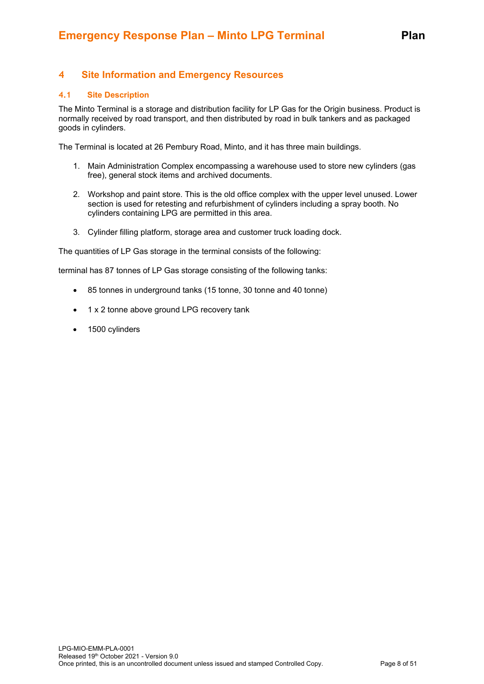# <span id="page-7-0"></span>**4 Site Information and Emergency Resources**

#### <span id="page-7-1"></span>**4.1 Site Description**

The Minto Terminal is a storage and distribution facility for LP Gas for the Origin business. Product is normally received by road transport, and then distributed by road in bulk tankers and as packaged goods in cylinders.

The Terminal is located at 26 Pembury Road, Minto, and it has three main buildings.

- 1. Main Administration Complex encompassing a warehouse used to store new cylinders (gas free), general stock items and archived documents.
- 2. Workshop and paint store. This is the old office complex with the upper level unused. Lower section is used for retesting and refurbishment of cylinders including a spray booth. No cylinders containing LPG are permitted in this area.
- 3. Cylinder filling platform, storage area and customer truck loading dock.

The quantities of LP Gas storage in the terminal consists of the following:

terminal has 87 tonnes of LP Gas storage consisting of the following tanks:

- 85 tonnes in underground tanks (15 tonne, 30 tonne and 40 tonne)
- 1 x 2 tonne above ground LPG recovery tank
- 1500 cylinders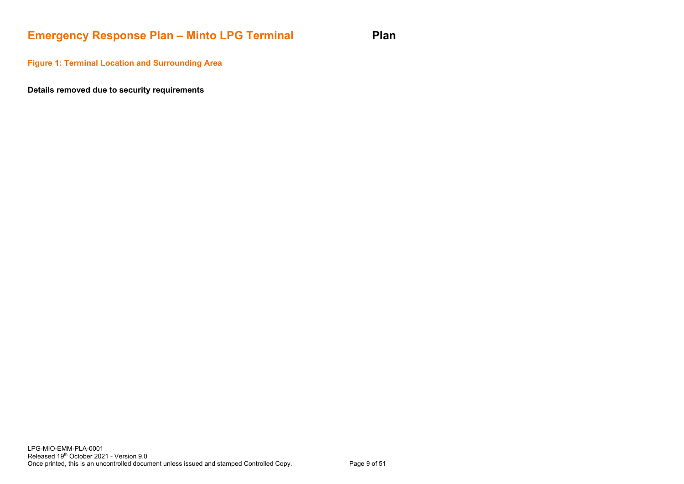# **Emergency Response Plan – Minto LPG Terminal Plan**

**Figure 1: Terminal Location and Surrounding Area**

**Details removed due to security requirements**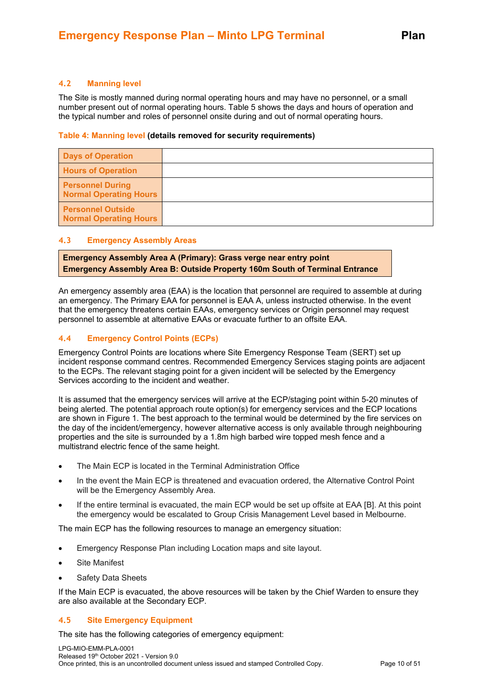#### <span id="page-9-0"></span>**4.2 Manning level**

The Site is mostly manned during normal operating hours and may have no personnel, or a small number present out of normal operating hours. Table 5 shows the days and hours of operation and the typical number and roles of personnel onsite during and out of normal operating hours.

#### **Table 4: Manning level (details removed for security requirements)**

| <b>Days of Operation</b>                                 |  |
|----------------------------------------------------------|--|
| <b>Hours of Operation</b>                                |  |
| <b>Personnel During</b><br><b>Normal Operating Hours</b> |  |
| <b>Personnel Outside</b><br>Normal Operating Hours       |  |

#### <span id="page-9-1"></span>**4.3 Emergency Assembly Areas**

**Emergency Assembly Area A (Primary): Grass verge near entry point Emergency Assembly Area B: Outside Property 160m South of Terminal Entrance**

An emergency assembly area (EAA) is the location that personnel are required to assemble at during an emergency. The Primary EAA for personnel is EAA A, unless instructed otherwise. In the event that the emergency threatens certain EAAs, emergency services or Origin personnel may request personnel to assemble at alternative EAAs or evacuate further to an offsite EAA.

#### <span id="page-9-2"></span>**4.4 Emergency Control Points (ECPs)**

Emergency Control Points are locations where Site Emergency Response Team (SERT) set up incident response command centres. Recommended Emergency Services staging points are adjacent to the ECPs. The relevant staging point for a given incident will be selected by the Emergency Services according to the incident and weather.

It is assumed that the emergency services will arrive at the ECP/staging point within 5-20 minutes of being alerted. The potential approach route option(s) for emergency services and the ECP locations are shown in Figure 1. The best approach to the terminal would be determined by the fire services on the day of the incident/emergency, however alternative access is only available through neighbouring properties and the site is surrounded by a 1.8m high barbed wire topped mesh fence and a multistrand electric fence of the same height.

- The Main ECP is located in the Terminal Administration Office
- In the event the Main ECP is threatened and evacuation ordered, the Alternative Control Point will be the Emergency Assembly Area.
- If the entire terminal is evacuated, the main ECP would be set up offsite at EAA [B]. At this point the emergency would be escalated to Group Crisis Management Level based in Melbourne.

The main ECP has the following resources to manage an emergency situation:

- Emergency Response Plan including Location maps and site layout.
- Site Manifest
- Safety Data Sheets

If the Main ECP is evacuated, the above resources will be taken by the Chief Warden to ensure they are also available at the Secondary ECP.

#### <span id="page-9-3"></span>**4.5 Site Emergency Equipment**

The site has the following categories of emergency equipment: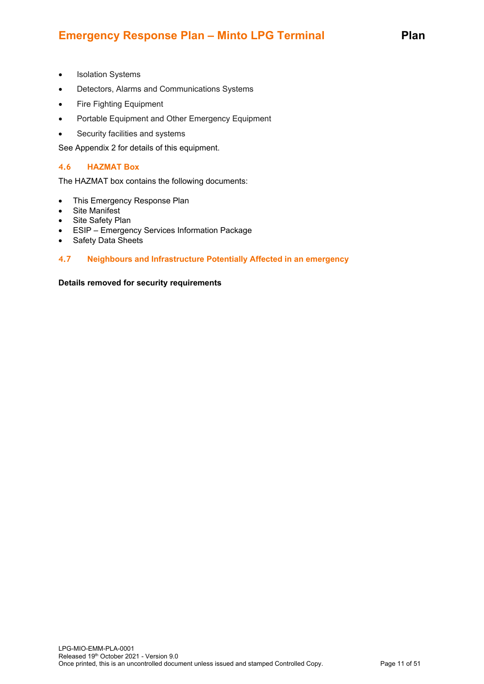# **Emergency Response Plan – Minto LPG Terminal Plan**

- Isolation Systems
- Detectors, Alarms and Communications Systems
- Fire Fighting Equipment
- Portable Equipment and Other Emergency Equipment
- Security facilities and systems

See Appendix 2 for details of this equipment.

#### <span id="page-10-0"></span>**4.6 HAZMAT Box**

The HAZMAT box contains the following documents:

- This Emergency Response Plan
- Site Manifest
- Site Safety Plan
- ESIP Emergency Services Information Package
- <span id="page-10-1"></span>• Safety Data Sheets

#### **4.7 Neighbours and Infrastructure Potentially Affected in an emergency**

#### **Details removed for security requirements**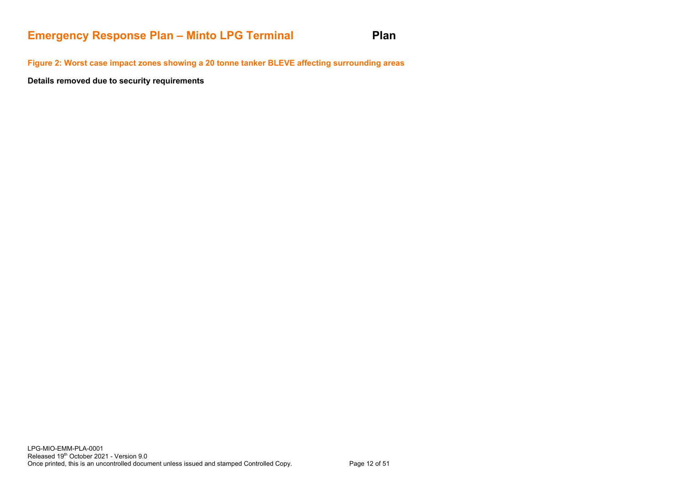# **Emergency Response Plan – Minto LPG Terminal Plan**

**Figure 2: Worst case impact zones showing a 20 tonne tanker BLEVE affecting surrounding areas**

**Details removed due to security requirements**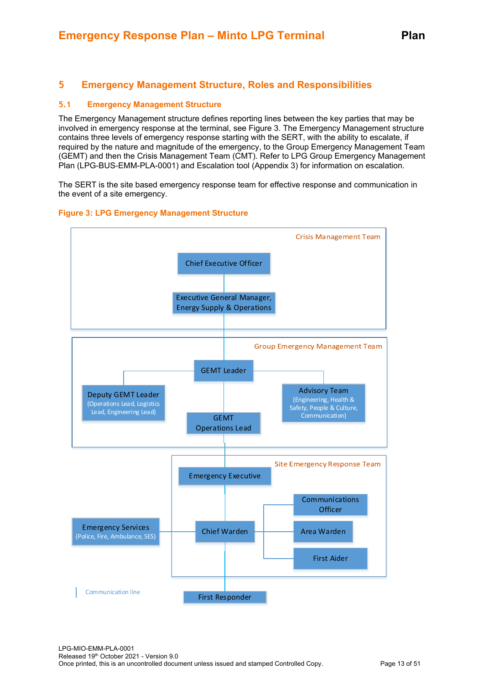# <span id="page-12-0"></span>**5 Emergency Management Structure, Roles and Responsibilities**

#### <span id="page-12-1"></span>**5.1 Emergency Management Structure**

The Emergency Management structure defines reporting lines between the key parties that may be involved in emergency response at the terminal, see Figure 3. The Emergency Management structure contains three levels of emergency response starting with the SERT, with the ability to escalate, if required by the nature and magnitude of the emergency, to the Group Emergency Management Team (GEMT) and then the Crisis Management Team (CMT). Refer to LPG Group Emergency Management Plan (LPG-BUS-EMM-PLA-0001) and Escalation tool (Appendix 3) for information on escalation.

The SERT is the site based emergency response team for effective response and communication in the event of a site emergency.



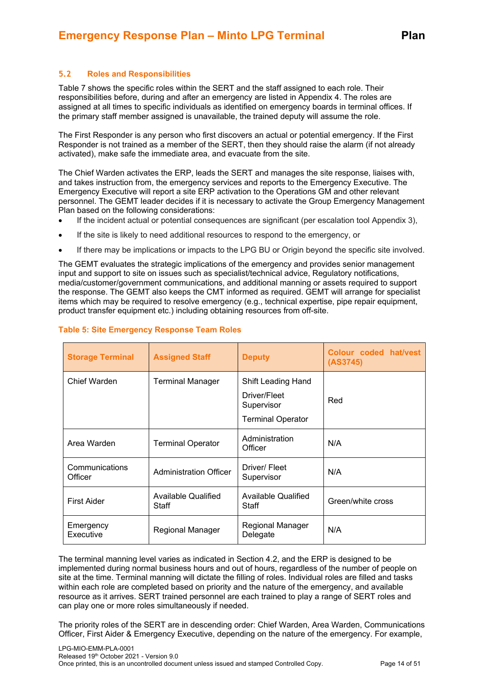### <span id="page-13-0"></span>**5.2 Roles and Responsibilities**

Table 7 shows the specific roles within the SERT and the staff assigned to each role. Their responsibilities before, during and after an emergency are listed in Appendix 4. The roles are assigned at all times to specific individuals as identified on emergency boards in terminal offices. If the primary staff member assigned is unavailable, the trained deputy will assume the role.

The First Responder is any person who first discovers an actual or potential emergency. If the First Responder is not trained as a member of the SERT, then they should raise the alarm (if not already activated), make safe the immediate area, and evacuate from the site.

The Chief Warden activates the ERP, leads the SERT and manages the site response, liaises with, and takes instruction from, the emergency services and reports to the Emergency Executive. The Emergency Executive will report a site ERP activation to the Operations GM and other relevant personnel. The GEMT leader decides if it is necessary to activate the Group Emergency Management Plan based on the following considerations:

- If the incident actual or potential consequences are significant (per escalation tool Appendix 3),
- If the site is likely to need additional resources to respond to the emergency, or
- If there may be implications or impacts to the LPG BU or Origin beyond the specific site involved.

The GEMT evaluates the strategic implications of the emergency and provides senior management input and support to site on issues such as specialist/technical advice, Regulatory notifications, media/customer/government communications, and additional manning or assets required to support the response. The GEMT also keeps the CMT informed as required. GEMT will arrange for specialist items which may be required to resolve emergency (e.g., technical expertise, pipe repair equipment, product transfer equipment etc.) including obtaining resources from off-site.

| <b>Storage Terminal</b>   | <b>Assigned Staff</b>         | <b>Deputy</b>                                                                | Colour coded hat/vest<br>(AS3745) |
|---------------------------|-------------------------------|------------------------------------------------------------------------------|-----------------------------------|
| Chief Warden              | <b>Terminal Manager</b>       | Shift Leading Hand<br>Driver/Fleet<br>Supervisor<br><b>Terminal Operator</b> | Red                               |
| Area Warden               | <b>Terminal Operator</b>      | Administration<br>Officer                                                    | N/A                               |
| Communications<br>Officer | <b>Administration Officer</b> | Driver/Fleet<br>Supervisor                                                   | N/A                               |
| <b>First Aider</b>        | Available Qualified<br>Staff  | Available Qualified<br>Staff                                                 | Green/white cross                 |
| Emergency<br>Executive    | Regional Manager              | Regional Manager<br>Delegate                                                 | N/A                               |

#### **Table 5: Site Emergency Response Team Roles**

The terminal manning level varies as indicated in Section 4.2, and the ERP is designed to be implemented during normal business hours and out of hours, regardless of the number of people on site at the time. Terminal manning will dictate the filling of roles. Individual roles are filled and tasks within each role are completed based on priority and the nature of the emergency, and available resource as it arrives. SERT trained personnel are each trained to play a range of SERT roles and can play one or more roles simultaneously if needed.

The priority roles of the SERT are in descending order: Chief Warden, Area Warden, Communications Officer, First Aider & Emergency Executive, depending on the nature of the emergency. For example,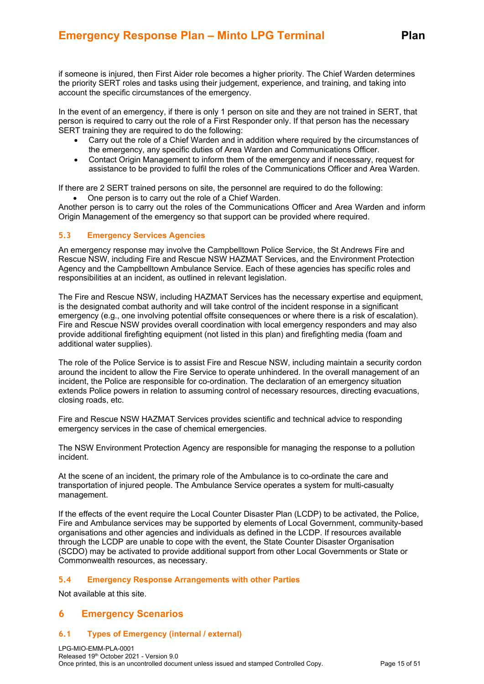if someone is injured, then First Aider role becomes a higher priority. The Chief Warden determines the priority SERT roles and tasks using their judgement, experience, and training, and taking into account the specific circumstances of the emergency.

In the event of an emergency, if there is only 1 person on site and they are not trained in SERT, that person is required to carry out the role of a First Responder only. If that person has the necessary SERT training they are required to do the following:

- Carry out the role of a Chief Warden and in addition where required by the circumstances of the emergency, any specific duties of Area Warden and Communications Officer.
- Contact Origin Management to inform them of the emergency and if necessary, request for assistance to be provided to fulfil the roles of the Communications Officer and Area Warden.

If there are 2 SERT trained persons on site, the personnel are required to do the following:

• One person is to carry out the role of a Chief Warden.

Another person is to carry out the roles of the Communications Officer and Area Warden and inform Origin Management of the emergency so that support can be provided where required.

#### <span id="page-14-0"></span>**5.3 Emergency Services Agencies**

An emergency response may involve the Campbelltown Police Service, the St Andrews Fire and Rescue NSW, including Fire and Rescue NSW HAZMAT Services, and the Environment Protection Agency and the Campbelltown Ambulance Service. Each of these agencies has specific roles and responsibilities at an incident, as outlined in relevant legislation.

The Fire and Rescue NSW, including HAZMAT Services has the necessary expertise and equipment, is the designated combat authority and will take control of the incident response in a significant emergency (e.g., one involving potential offsite consequences or where there is a risk of escalation). Fire and Rescue NSW provides overall coordination with local emergency responders and may also provide additional firefighting equipment (not listed in this plan) and firefighting media (foam and additional water supplies).

The role of the Police Service is to assist Fire and Rescue NSW, including maintain a security cordon around the incident to allow the Fire Service to operate unhindered. In the overall management of an incident, the Police are responsible for co-ordination. The declaration of an emergency situation extends Police powers in relation to assuming control of necessary resources, directing evacuations, closing roads, etc.

Fire and Rescue NSW HAZMAT Services provides scientific and technical advice to responding emergency services in the case of chemical emergencies.

The NSW Environment Protection Agency are responsible for managing the response to a pollution incident.

At the scene of an incident, the primary role of the Ambulance is to co-ordinate the care and transportation of injured people. The Ambulance Service operates a system for multi-casualty management.

If the effects of the event require the Local Counter Disaster Plan (LCDP) to be activated, the Police, Fire and Ambulance services may be supported by elements of Local Government, community-based organisations and other agencies and individuals as defined in the LCDP. If resources available through the LCDP are unable to cope with the event, the State Counter Disaster Organisation (SCDO) may be activated to provide additional support from other Local Governments or State or Commonwealth resources, as necessary.

#### <span id="page-14-1"></span>**5.4 Emergency Response Arrangements with other Parties**

Not available at this site.

### <span id="page-14-2"></span>**6 Emergency Scenarios**

#### <span id="page-14-3"></span>**6.1 Types of Emergency (internal / external)**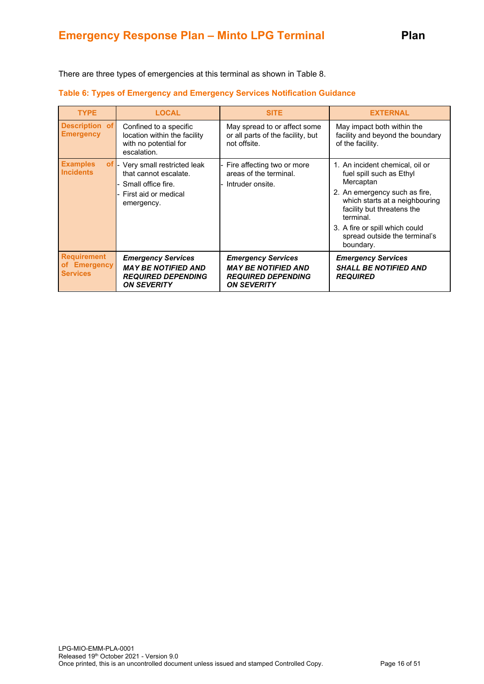There are three types of emergencies at this terminal as shown in Table 8.

| <b>TYPE</b>                                                          | <b>LOCAL</b>                                                                                                    | <b>SITE</b>                                                                                                | <b>EXTERNAL</b>                                                                                                                                                                                                                                                        |
|----------------------------------------------------------------------|-----------------------------------------------------------------------------------------------------------------|------------------------------------------------------------------------------------------------------------|------------------------------------------------------------------------------------------------------------------------------------------------------------------------------------------------------------------------------------------------------------------------|
| Description of<br><b>Emergency</b>                                   | Confined to a specific<br>location within the facility<br>with no potential for<br>escalation.                  | May spread to or affect some<br>or all parts of the facility, but<br>not offsite.                          | May impact both within the<br>facility and beyond the boundary<br>of the facility.                                                                                                                                                                                     |
| <b>Examples</b><br>$of$ $\overline{\phantom{a}}$<br><b>Incidents</b> | Very small restricted leak<br>that cannot escalate.<br>Small office fire.<br>First aid or medical<br>emergency. | Fire affecting two or more<br>areas of the terminal.<br>- Intruder onsite.                                 | 1. An incident chemical, oil or<br>fuel spill such as Ethyl<br>Mercaptan<br>2. An emergency such as fire,<br>which starts at a neighbouring<br>facility but threatens the<br>terminal.<br>3. A fire or spill which could<br>spread outside the terminal's<br>boundary. |
| <b>Requirement</b><br>of Emergency<br><b>Services</b>                | <b>Emergency Services</b><br><b>MAY BE NOTIFIED AND</b><br><b>REQUIRED DEPENDING</b><br><b>ON SEVERITY</b>      | <b>Emergency Services</b><br><b>MAY BE NOTIFIED AND</b><br><b>REQUIRED DEPENDING</b><br><b>ON SEVERITY</b> | <b>Emergency Services</b><br><b>SHALL BE NOTIFIED AND</b><br><b>REQUIRED</b>                                                                                                                                                                                           |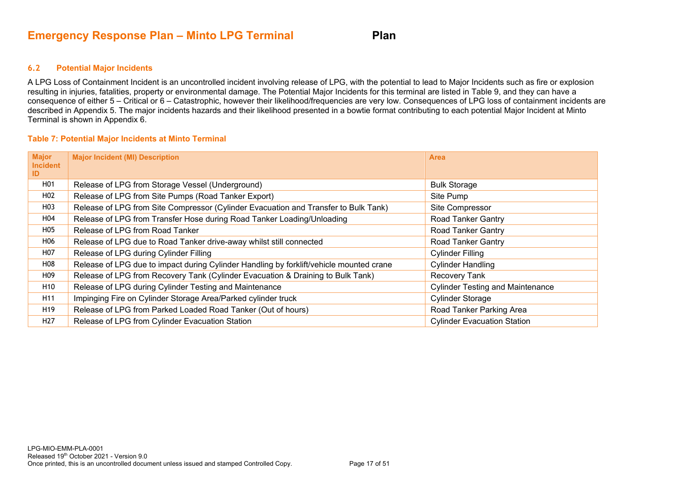#### **6.2 Potential Major Incidents**

A LPG Loss of Containment Incident is an uncontrolled incident involving release of LPG, with the potential to lead to Major Incidents such as fire or explosion resulting in injuries, fatalities, property or environmental damage. The Potential Major Incidents for this terminal are listed in Table 9, and they can have a consequence of either 5 – Critical or 6 – Catastrophic, however their likelihood/frequencies are very low. Consequences of LPG loss of containment incidents are described in Appendix 5. The major incidents hazards and their likelihood presented in a bowtie format contributing to each potential Major Incident at Minto Terminal is shown in Appendix 6.

#### **Table 7: Potential Major Incidents at Minto Terminal**

<span id="page-16-0"></span>

| <b>Major</b><br><b>Incident</b><br>ID | <b>Major Incident (MI) Description</b>                                                  | <b>Area</b>                             |
|---------------------------------------|-----------------------------------------------------------------------------------------|-----------------------------------------|
| H01                                   | Release of LPG from Storage Vessel (Underground)                                        | <b>Bulk Storage</b>                     |
| H <sub>0</sub> 2                      | Release of LPG from Site Pumps (Road Tanker Export)                                     | Site Pump                               |
| H03                                   | Release of LPG from Site Compressor (Cylinder Evacuation and Transfer to Bulk Tank)     | Site Compressor                         |
| H04                                   | Release of LPG from Transfer Hose during Road Tanker Loading/Unloading                  | <b>Road Tanker Gantry</b>               |
| H05                                   | Release of LPG from Road Tanker                                                         | <b>Road Tanker Gantry</b>               |
| H06                                   | Release of LPG due to Road Tanker drive-away whilst still connected                     | <b>Road Tanker Gantry</b>               |
| H <sub>0</sub> 7                      | Release of LPG during Cylinder Filling                                                  | <b>Cylinder Filling</b>                 |
| H08                                   | Release of LPG due to impact during Cylinder Handling by forklift/vehicle mounted crane | <b>Cylinder Handling</b>                |
| H <sub>09</sub>                       | Release of LPG from Recovery Tank (Cylinder Evacuation & Draining to Bulk Tank)         | Recovery Tank                           |
| H <sub>10</sub>                       | Release of LPG during Cylinder Testing and Maintenance                                  | <b>Cylinder Testing and Maintenance</b> |
| H <sub>11</sub>                       | Impinging Fire on Cylinder Storage Area/Parked cylinder truck                           | <b>Cylinder Storage</b>                 |
| H <sub>19</sub>                       | Release of LPG from Parked Loaded Road Tanker (Out of hours)                            | Road Tanker Parking Area                |
| H <sub>27</sub>                       | Release of LPG from Cylinder Evacuation Station                                         | <b>Cylinder Evacuation Station</b>      |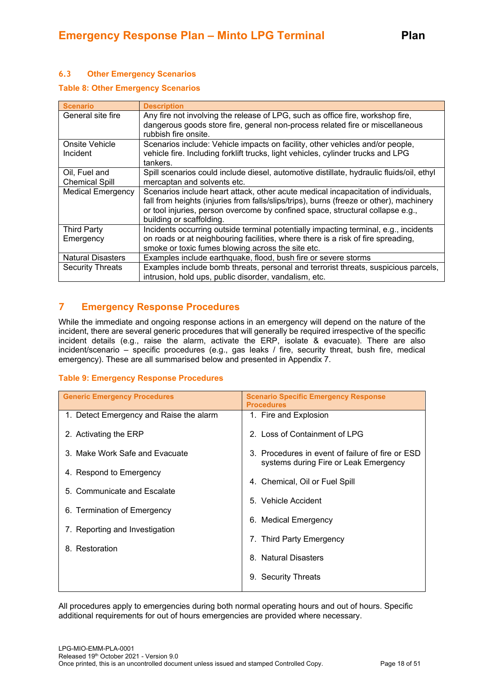# <span id="page-17-0"></span>**6.3 Other Emergency Scenarios**

#### **Table 8: Other Emergency Scenarios**

| <b>Scenario</b>          | <b>Description</b>                                                                       |
|--------------------------|------------------------------------------------------------------------------------------|
| General site fire        | Any fire not involving the release of LPG, such as office fire, workshop fire,           |
|                          | dangerous goods store fire, general non-process related fire or miscellaneous            |
|                          | rubbish fire onsite.                                                                     |
| Onsite Vehicle           | Scenarios include: Vehicle impacts on facility, other vehicles and/or people,            |
| Incident                 | vehicle fire. Including forklift trucks, light vehicles, cylinder trucks and LPG         |
|                          | tankers.                                                                                 |
| Oil, Fuel and            | Spill scenarios could include diesel, automotive distillate, hydraulic fluids/oil, ethyl |
| <b>Chemical Spill</b>    | mercaptan and solvents etc.                                                              |
| <b>Medical Emergency</b> | Scenarios include heart attack, other acute medical incapacitation of individuals,       |
|                          | fall from heights (injuries from falls/slips/trips), burns (freeze or other), machinery  |
|                          | or tool injuries, person overcome by confined space, structural collapse e.g.,           |
|                          | building or scaffolding.                                                                 |
| <b>Third Party</b>       | Incidents occurring outside terminal potentially impacting terminal, e.g., incidents     |
| Emergency                | on roads or at neighbouring facilities, where there is a risk of fire spreading,         |
|                          | smoke or toxic fumes blowing across the site etc.                                        |
| <b>Natural Disasters</b> | Examples include earthquake, flood, bush fire or severe storms                           |
| <b>Security Threats</b>  | Examples include bomb threats, personal and terrorist threats, suspicious parcels,       |
|                          | intrusion, hold ups, public disorder, vandalism, etc.                                    |

# <span id="page-17-1"></span>**7 Emergency Response Procedures**

While the immediate and ongoing response actions in an emergency will depend on the nature of the incident, there are several generic procedures that will generally be required irrespective of the specific incident details (e.g., raise the alarm, activate the ERP, isolate & evacuate). There are also incident/scenario – specific procedures (e.g., gas leaks / fire, security threat, bush fire, medical emergency). These are all summarised below and presented in Appendix 7.

#### **Table 9: Emergency Response Procedures**

| <b>Generic Emergency Procedures</b>     | <b>Scenario Specific Emergency Response</b><br><b>Procedures</b>                          |
|-----------------------------------------|-------------------------------------------------------------------------------------------|
| 1. Detect Emergency and Raise the alarm | 1. Fire and Explosion                                                                     |
| 2. Activating the ERP                   | 2. Loss of Containment of LPG                                                             |
| 3. Make Work Safe and Evacuate          | 3. Procedures in event of failure of fire or ESD<br>systems during Fire or Leak Emergency |
| 4. Respond to Emergency                 | 4. Chemical, Oil or Fuel Spill                                                            |
| 5. Communicate and Escalate             | 5. Vehicle Accident                                                                       |
| 6. Termination of Emergency             | 6. Medical Emergency                                                                      |
| 7. Reporting and Investigation          | 7. Third Party Emergency                                                                  |
| 8. Restoration                          | 8. Natural Disasters                                                                      |
|                                         | 9. Security Threats                                                                       |
|                                         |                                                                                           |

All procedures apply to emergencies during both normal operating hours and out of hours. Specific additional requirements for out of hours emergencies are provided where necessary.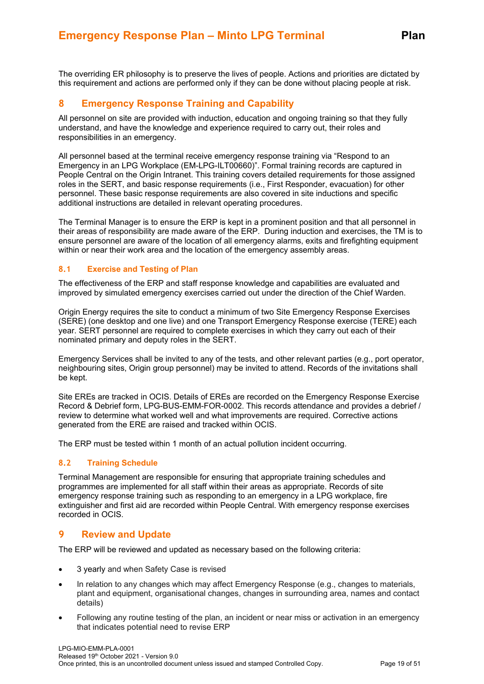The overriding ER philosophy is to preserve the lives of people. Actions and priorities are dictated by this requirement and actions are performed only if they can be done without placing people at risk.

# <span id="page-18-0"></span>**8 Emergency Response Training and Capability**

All personnel on site are provided with induction, education and ongoing training so that they fully understand, and have the knowledge and experience required to carry out, their roles and responsibilities in an emergency.

All personnel based at the terminal receive emergency response training via "Respond to an Emergency in an LPG Workplace (EM-LPG-ILT00660)". Formal training records are captured in People Central on the Origin Intranet. This training covers detailed requirements for those assigned roles in the SERT, and basic response requirements (i.e., First Responder, evacuation) for other personnel. These basic response requirements are also covered in site inductions and specific additional instructions are detailed in relevant operating procedures.

The Terminal Manager is to ensure the ERP is kept in a prominent position and that all personnel in their areas of responsibility are made aware of the ERP. During induction and exercises, the TM is to ensure personnel are aware of the location of all emergency alarms, exits and firefighting equipment within or near their work area and the location of the emergency assembly areas.

#### <span id="page-18-1"></span>**8.1 Exercise and Testing of Plan**

The effectiveness of the ERP and staff response knowledge and capabilities are evaluated and improved by simulated emergency exercises carried out under the direction of the Chief Warden.

Origin Energy requires the site to conduct a minimum of two Site Emergency Response Exercises (SERE) (one desktop and one live) and one Transport Emergency Response exercise (TERE) each year. SERT personnel are required to complete exercises in which they carry out each of their nominated primary and deputy roles in the SERT.

Emergency Services shall be invited to any of the tests, and other relevant parties (e.g., port operator, neighbouring sites, Origin group personnel) may be invited to attend. Records of the invitations shall be kept.

Site EREs are tracked in OCIS. Details of EREs are recorded on the Emergency Response Exercise Record & Debrief form, LPG-BUS-EMM-FOR-0002. This records attendance and provides a debrief / review to determine what worked well and what improvements are required. Corrective actions generated from the ERE are raised and tracked within OCIS.

<span id="page-18-2"></span>The ERP must be tested within 1 month of an actual pollution incident occurring.

#### **8.2 Training Schedule**

Terminal Management are responsible for ensuring that appropriate training schedules and programmes are implemented for all staff within their areas as appropriate. Records of site emergency response training such as responding to an emergency in a LPG workplace, fire extinguisher and first aid are recorded within People Central. With emergency response exercises recorded in OCIS.

### <span id="page-18-3"></span>**9 Review and Update**

The ERP will be reviewed and updated as necessary based on the following criteria:

- 3 yearly and when Safety Case is revised
- In relation to any changes which may affect Emergency Response (e.g., changes to materials, plant and equipment, organisational changes, changes in surrounding area, names and contact details)
- Following any routine testing of the plan, an incident or near miss or activation in an emergency that indicates potential need to revise ERP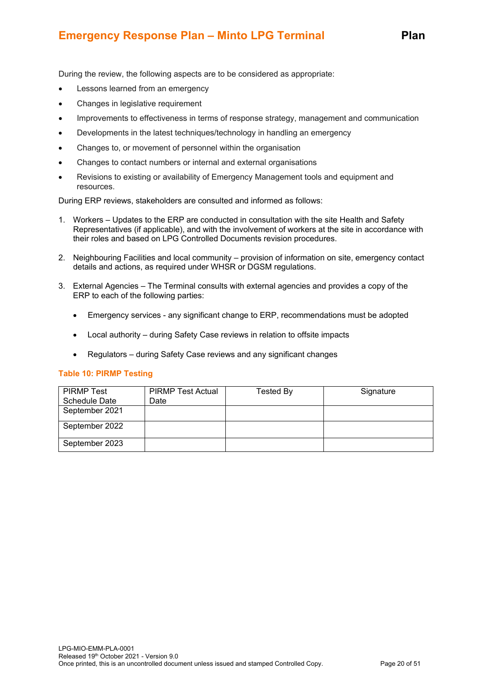# **Emergency Response Plan – Minto LPG Terminal Plan**

During the review, the following aspects are to be considered as appropriate:

- Lessons learned from an emergency
- Changes in legislative requirement
- Improvements to effectiveness in terms of response strategy, management and communication
- Developments in the latest techniques/technology in handling an emergency
- Changes to, or movement of personnel within the organisation
- Changes to contact numbers or internal and external organisations
- Revisions to existing or availability of Emergency Management tools and equipment and resources.

During ERP reviews, stakeholders are consulted and informed as follows:

- 1. Workers Updates to the ERP are conducted in consultation with the site Health and Safety Representatives (if applicable), and with the involvement of workers at the site in accordance with their roles and based on LPG Controlled Documents revision procedures.
- 2. Neighbouring Facilities and local community provision of information on site, emergency contact details and actions, as required under WHSR or DGSM regulations.
- 3. External Agencies The Terminal consults with external agencies and provides a copy of the ERP to each of the following parties:
	- Emergency services any significant change to ERP, recommendations must be adopted
	- Local authority during Safety Case reviews in relation to offsite impacts
	- Regulators during Safety Case reviews and any significant changes

#### **Table 10: PIRMP Testing**

| <b>PIRMP Test</b>    | <b>PIRMP Test Actual</b> | Tested By | Signature |
|----------------------|--------------------------|-----------|-----------|
| <b>Schedule Date</b> | ⊃ate                     |           |           |
| September 2021       |                          |           |           |
| September 2022       |                          |           |           |
| September 2023       |                          |           |           |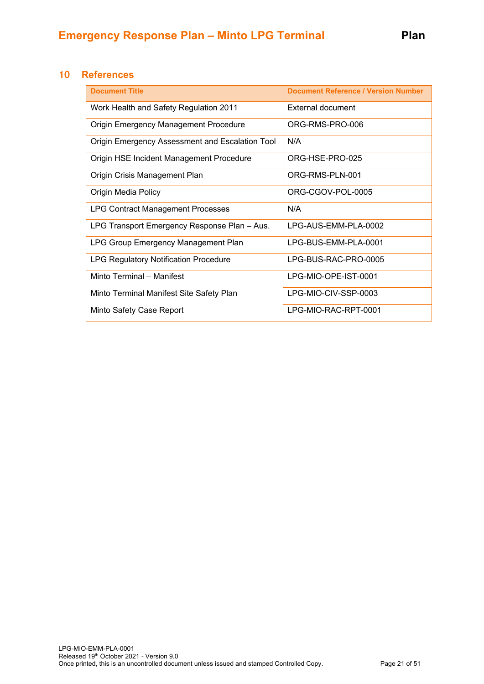# <span id="page-20-0"></span>**10 References**

| <b>Document Title</b>                           | <b>Document Reference / Version Number</b> |
|-------------------------------------------------|--------------------------------------------|
| Work Health and Safety Regulation 2011          | External document                          |
| <b>Origin Emergency Management Procedure</b>    | ORG-RMS-PRO-006                            |
| Origin Emergency Assessment and Escalation Tool | N/A                                        |
| Origin HSE Incident Management Procedure        | ORG-HSE-PRO-025                            |
| Origin Crisis Management Plan                   | ORG-RMS-PLN-001                            |
| Origin Media Policy                             | ORG-CGOV-POL-0005                          |
| <b>LPG Contract Management Processes</b>        | N/A                                        |
| LPG Transport Emergency Response Plan - Aus.    | LPG-AUS-EMM-PLA-0002                       |
| LPG Group Emergency Management Plan             | LPG-BUS-EMM-PLA-0001                       |
| <b>LPG Regulatory Notification Procedure</b>    | LPG-BUS-RAC-PRO-0005                       |
| Minto Terminal - Manifest                       | LPG-MIO-OPE-IST-0001                       |
| Minto Terminal Manifest Site Safety Plan        | LPG-MIO-CIV-SSP-0003                       |
| Minto Safety Case Report                        | LPG-MIO-RAC-RPT-0001                       |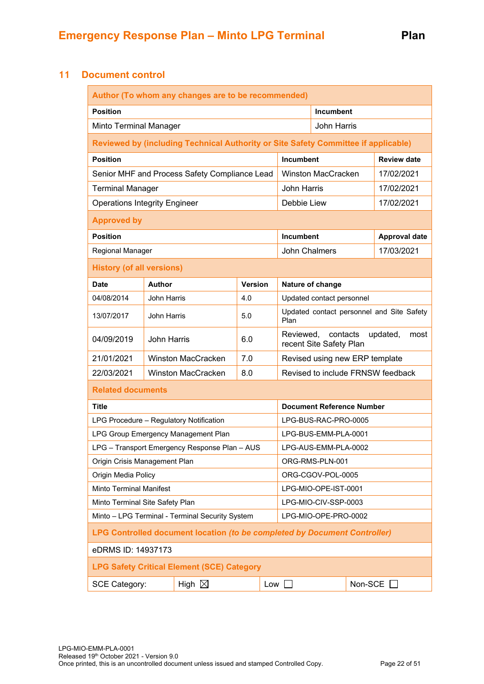# <span id="page-21-0"></span>**11 Document control**

|                                                                           |                                                                         | Author (To whom any changes are to be recommended)                                 |                |                      |                                                                      |                                  |  |                      |
|---------------------------------------------------------------------------|-------------------------------------------------------------------------|------------------------------------------------------------------------------------|----------------|----------------------|----------------------------------------------------------------------|----------------------------------|--|----------------------|
| <b>Position</b>                                                           | Incumbent                                                               |                                                                                    |                |                      |                                                                      |                                  |  |                      |
| Minto Terminal Manager                                                    |                                                                         |                                                                                    |                |                      |                                                                      | John Harris                      |  |                      |
|                                                                           |                                                                         | Reviewed by (including Technical Authority or Site Safety Committee if applicable) |                |                      |                                                                      |                                  |  |                      |
| <b>Position</b>                                                           |                                                                         |                                                                                    |                |                      | Incumbent                                                            |                                  |  | <b>Review date</b>   |
|                                                                           |                                                                         | Senior MHF and Process Safety Compliance Lead                                      |                |                      |                                                                      | <b>Winston MacCracken</b>        |  | 17/02/2021           |
| <b>Terminal Manager</b>                                                   |                                                                         |                                                                                    |                |                      | <b>John Harris</b>                                                   |                                  |  | 17/02/2021           |
| <b>Operations Integrity Engineer</b>                                      |                                                                         |                                                                                    |                |                      | Debbie Liew                                                          |                                  |  | 17/02/2021           |
| <b>Approved by</b>                                                        |                                                                         |                                                                                    |                |                      |                                                                      |                                  |  |                      |
| <b>Position</b>                                                           |                                                                         |                                                                                    |                |                      | Incumbent                                                            |                                  |  | <b>Approval date</b> |
| Regional Manager                                                          |                                                                         |                                                                                    |                |                      | John Chalmers                                                        |                                  |  | 17/03/2021           |
| <b>History (of all versions)</b>                                          |                                                                         |                                                                                    |                |                      |                                                                      |                                  |  |                      |
| <b>Date</b>                                                               | Author                                                                  |                                                                                    | <b>Version</b> |                      |                                                                      | Nature of change                 |  |                      |
| 04/08/2014                                                                | <b>John Harris</b>                                                      |                                                                                    | 4.0            |                      |                                                                      | Updated contact personnel        |  |                      |
| 13/07/2017                                                                | <b>John Harris</b>                                                      |                                                                                    | 5.0            |                      | Updated contact personnel and Site Safety<br>Plan                    |                                  |  |                      |
| 04/09/2019                                                                | <b>John Harris</b>                                                      |                                                                                    | 6.0            |                      | contacts<br>Reviewed.<br>updated,<br>most<br>recent Site Safety Plan |                                  |  |                      |
| 21/01/2021                                                                |                                                                         | <b>Winston MacCracken</b>                                                          | 7.0            |                      | Revised using new ERP template                                       |                                  |  |                      |
| 22/03/2021                                                                |                                                                         | <b>Winston MacCracken</b>                                                          | 8.0            |                      | Revised to include FRNSW feedback                                    |                                  |  |                      |
| <b>Related documents</b>                                                  |                                                                         |                                                                                    |                |                      |                                                                      |                                  |  |                      |
| <b>Title</b>                                                              |                                                                         |                                                                                    |                |                      |                                                                      | <b>Document Reference Number</b> |  |                      |
|                                                                           |                                                                         | LPG Procedure - Regulatory Notification                                            |                |                      |                                                                      | LPG-BUS-RAC-PRO-0005             |  |                      |
|                                                                           |                                                                         | LPG Group Emergency Management Plan                                                |                |                      | LPG-BUS-EMM-PLA-0001                                                 |                                  |  |                      |
|                                                                           |                                                                         | LPG - Transport Emergency Response Plan - AUS                                      |                |                      | LPG-AUS-EMM-PLA-0002                                                 |                                  |  |                      |
| Origin Crisis Management Plan                                             |                                                                         |                                                                                    |                |                      | ORG-RMS-PLN-001                                                      |                                  |  |                      |
| Origin Media Policy                                                       |                                                                         |                                                                                    |                |                      | ORG-CGOV-POL-0005                                                    |                                  |  |                      |
| <b>Minto Terminal Manifest</b>                                            |                                                                         |                                                                                    |                |                      | LPG-MIO-OPE-IST-0001                                                 |                                  |  |                      |
| Minto Terminal Site Safety Plan                                           |                                                                         |                                                                                    |                | LPG-MIO-CIV-SSP-0003 |                                                                      |                                  |  |                      |
|                                                                           | Minto - LPG Terminal - Terminal Security System<br>LPG-MIO-OPE-PRO-0002 |                                                                                    |                |                      |                                                                      |                                  |  |                      |
| LPG Controlled document location (to be completed by Document Controller) |                                                                         |                                                                                    |                |                      |                                                                      |                                  |  |                      |
| eDRMS ID: 14937173                                                        |                                                                         |                                                                                    |                |                      |                                                                      |                                  |  |                      |
|                                                                           |                                                                         | <b>LPG Safety Critical Element (SCE) Category</b>                                  |                |                      |                                                                      |                                  |  |                      |
| <b>SCE Category:</b>                                                      |                                                                         | High $\boxtimes$                                                                   |                | $Low$                |                                                                      |                                  |  | Non-SCE $\Box$       |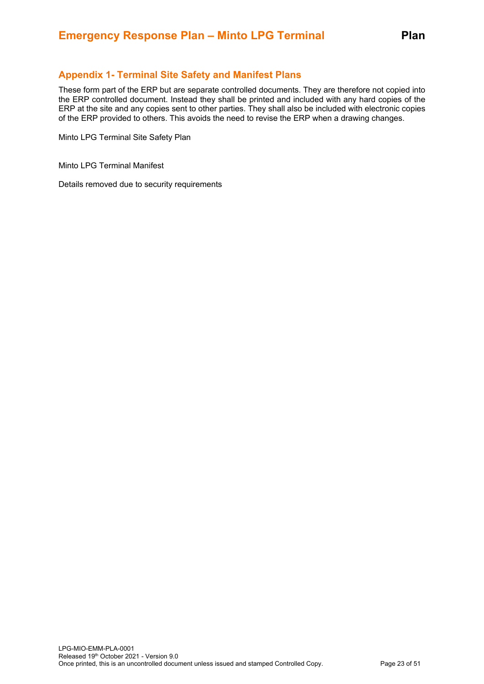# <span id="page-22-0"></span>**Appendix 1- Terminal Site Safety and Manifest Plans**

These form part of the ERP but are separate controlled documents. They are therefore not copied into the ERP controlled document. Instead they shall be printed and included with any hard copies of the ERP at the site and any copies sent to other parties. They shall also be included with electronic copies of the ERP provided to others. This avoids the need to revise the ERP when a drawing changes.

Minto LPG Terminal Site Safety Plan

Minto LPG Terminal Manifest

Details removed due to security requirements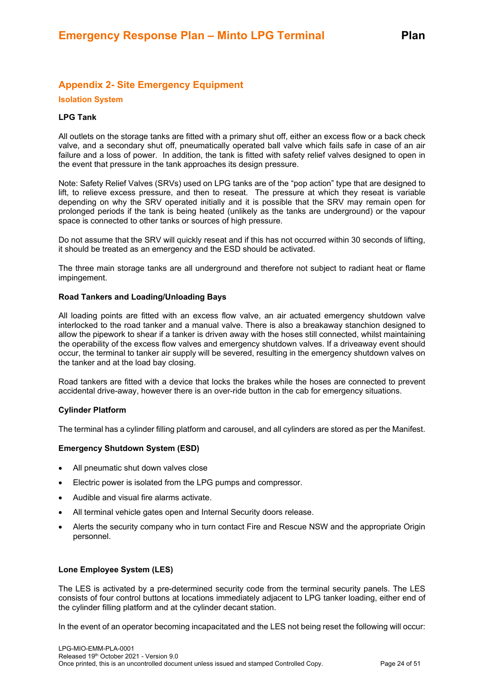# <span id="page-23-0"></span>**Appendix 2- Site Emergency Equipment**

#### **Isolation System**

#### **LPG Tank**

All outlets on the storage tanks are fitted with a primary shut off, either an excess flow or a back check valve, and a secondary shut off, pneumatically operated ball valve which fails safe in case of an air failure and a loss of power. In addition, the tank is fitted with safety relief valves designed to open in the event that pressure in the tank approaches its design pressure.

Note: Safety Relief Valves (SRVs) used on LPG tanks are of the "pop action" type that are designed to lift, to relieve excess pressure, and then to reseat. The pressure at which they reseat is variable depending on why the SRV operated initially and it is possible that the SRV may remain open for prolonged periods if the tank is being heated (unlikely as the tanks are underground) or the vapour space is connected to other tanks or sources of high pressure.

Do not assume that the SRV will quickly reseat and if this has not occurred within 30 seconds of lifting, it should be treated as an emergency and the ESD should be activated.

The three main storage tanks are all underground and therefore not subject to radiant heat or flame impingement.

#### **Road Tankers and Loading/Unloading Bays**

All loading points are fitted with an excess flow valve, an air actuated emergency shutdown valve interlocked to the road tanker and a manual valve. There is also a breakaway stanchion designed to allow the pipework to shear if a tanker is driven away with the hoses still connected, whilst maintaining the operability of the excess flow valves and emergency shutdown valves. If a driveaway event should occur, the terminal to tanker air supply will be severed, resulting in the emergency shutdown valves on the tanker and at the load bay closing.

Road tankers are fitted with a device that locks the brakes while the hoses are connected to prevent accidental drive-away, however there is an over-ride button in the cab for emergency situations.

#### **Cylinder Platform**

The terminal has a cylinder filling platform and carousel, and all cylinders are stored as per the Manifest.

#### **Emergency Shutdown System (ESD)**

- All pneumatic shut down valves close
- Electric power is isolated from the LPG pumps and compressor.
- Audible and visual fire alarms activate.
- All terminal vehicle gates open and Internal Security doors release.
- Alerts the security company who in turn contact Fire and Rescue NSW and the appropriate Origin personnel.

#### **Lone Employee System (LES)**

The LES is activated by a pre-determined security code from the terminal security panels. The LES consists of four control buttons at locations immediately adjacent to LPG tanker loading, either end of the cylinder filling platform and at the cylinder decant station.

In the event of an operator becoming incapacitated and the LES not being reset the following will occur: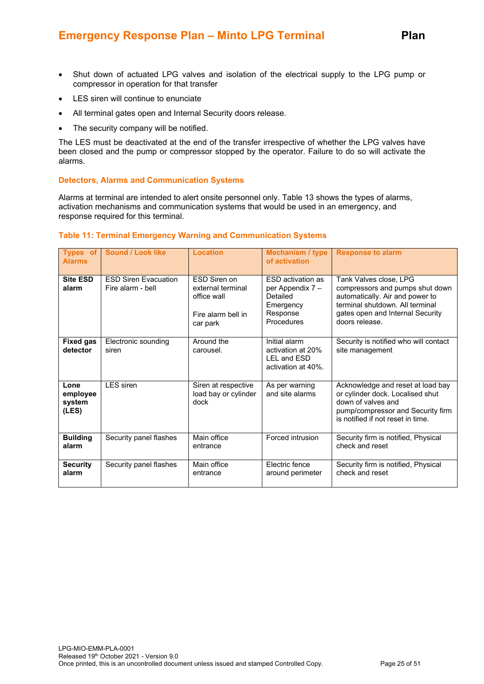- Shut down of actuated LPG valves and isolation of the electrical supply to the LPG pump or compressor in operation for that transfer
- LES siren will continue to enunciate
- All terminal gates open and Internal Security doors release.
- The security company will be notified.

The LES must be deactivated at the end of the transfer irrespective of whether the LPG valves have been closed and the pump or compressor stopped by the operator. Failure to do so will activate the alarms.

#### **Detectors, Alarms and Communication Systems**

Alarms at terminal are intended to alert onsite personnel only. Table 13 shows the types of alarms, activation mechanisms and communication systems that would be used in an emergency, and response required for this terminal.

#### **Table 11: Terminal Emergency Warning and Communication Systems**

| Types of<br><b>Alarms</b>           | <b>Sound / Look like</b>                         | <b>Location</b>                                                                    | <b>Mechanism / type</b><br>of activation                                                        | <b>Response to alarm</b>                                                                                                                                                              |
|-------------------------------------|--------------------------------------------------|------------------------------------------------------------------------------------|-------------------------------------------------------------------------------------------------|---------------------------------------------------------------------------------------------------------------------------------------------------------------------------------------|
| <b>Site ESD</b><br>alarm            | <b>FSD Siren Evacuation</b><br>Fire alarm - bell | FSD Siren on<br>external terminal<br>office wall<br>Fire alarm bell in<br>car park | <b>FSD</b> activation as<br>per Appendix 7 -<br>Detailed<br>Emergency<br>Response<br>Procedures | Tank Valves close, LPG<br>compressors and pumps shut down<br>automatically. Air and power to<br>terminal shutdown. All terminal<br>gates open and Internal Security<br>doors release. |
| <b>Fixed gas</b><br>detector        | Electronic sounding<br>siren                     | Around the<br>carousel.                                                            | Initial alarm<br>activation at 20%<br>LEL and ESD<br>activation at 40%.                         | Security is notified who will contact<br>site management                                                                                                                              |
| Lone<br>employee<br>system<br>(LES) | <b>LES</b> siren                                 | Siren at respective<br>load bay or cylinder<br>dock                                | As per warning<br>and site alarms                                                               | Acknowledge and reset at load bay<br>or cylinder dock. Localised shut<br>down of valves and<br>pump/compressor and Security firm<br>is notified if not reset in time.                 |
| <b>Building</b><br>alarm            | Security panel flashes                           | Main office<br>entrance                                                            | Forced intrusion                                                                                | Security firm is notified, Physical<br>check and reset                                                                                                                                |
| <b>Security</b><br>alarm            | Security panel flashes                           | Main office<br>entrance                                                            | Electric fence<br>around perimeter                                                              | Security firm is notified, Physical<br>check and reset                                                                                                                                |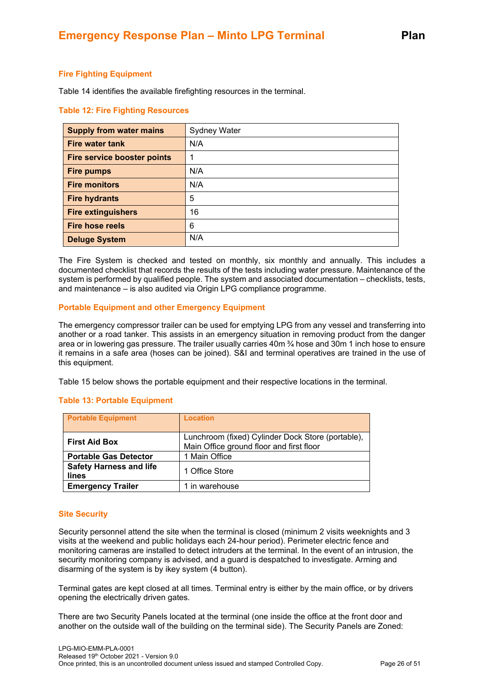#### **Fire Fighting Equipment**

Table 14 identifies the available firefighting resources in the terminal.

#### **Table 12: Fire Fighting Resources**

| <b>Supply from water mains</b>     | Sydney Water |
|------------------------------------|--------------|
| <b>Fire water tank</b>             | N/A          |
| <b>Fire service booster points</b> | 1            |
| <b>Fire pumps</b>                  | N/A          |
| <b>Fire monitors</b>               | N/A          |
| <b>Fire hydrants</b>               | 5            |
| <b>Fire extinguishers</b>          | 16           |
| <b>Fire hose reels</b>             | 6            |
| <b>Deluge System</b>               | N/A          |

The Fire System is checked and tested on monthly, six monthly and annually. This includes a documented checklist that records the results of the tests including water pressure. Maintenance of the system is performed by qualified people. The system and associated documentation – checklists, tests, and maintenance – is also audited via Origin LPG compliance programme.

#### **Portable Equipment and other Emergency Equipment**

The emergency compressor trailer can be used for emptying LPG from any vessel and transferring into another or a road tanker. This assists in an emergency situation in removing product from the danger area or in lowering gas pressure. The trailer usually carries 40m ¾ hose and 30m 1 inch hose to ensure it remains in a safe area (hoses can be joined). S&I and terminal operatives are trained in the use of this equipment.

Table 15 below shows the portable equipment and their respective locations in the terminal.

#### **Table 13: Portable Equipment**

| <b>Portable Equipment</b>               | <b>Location</b>                                                                               |
|-----------------------------------------|-----------------------------------------------------------------------------------------------|
| <b>First Aid Box</b>                    | Lunchroom (fixed) Cylinder Dock Store (portable),<br>Main Office ground floor and first floor |
| <b>Portable Gas Detector</b>            | 1 Main Office                                                                                 |
| <b>Safety Harness and life</b><br>lines | 1 Office Store                                                                                |
| <b>Emergency Trailer</b>                | 1 in warehouse                                                                                |

#### **Site Security**

Security personnel attend the site when the terminal is closed (minimum 2 visits weeknights and 3 visits at the weekend and public holidays each 24-hour period). Perimeter electric fence and monitoring cameras are installed to detect intruders at the terminal. In the event of an intrusion, the security monitoring company is advised, and a guard is despatched to investigate. Arming and disarming of the system is by ikey system (4 button).

Terminal gates are kept closed at all times. Terminal entry is either by the main office, or by drivers opening the electrically driven gates.

There are two Security Panels located at the terminal (one inside the office at the front door and another on the outside wall of the building on the terminal side). The Security Panels are Zoned: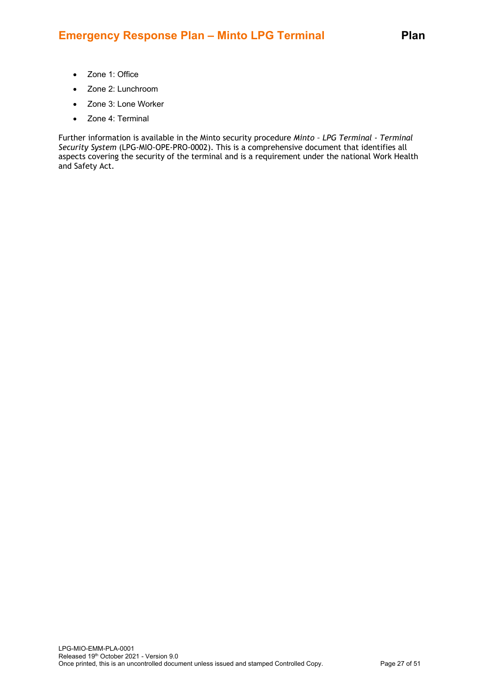# **Emergency Response Plan – Minto LPG Terminal Plan**

- Zone 1: Office
- Zone 2: Lunchroom
- Zone 3: Lone Worker
- Zone 4: Terminal

Further information is available in the Minto security procedure *Minto – LPG Terminal - Terminal Security System* (LPG-MIO-OPE-PRO-0002). This is a comprehensive document that identifies all aspects covering the security of the terminal and is a requirement under the national Work Health and Safety Act.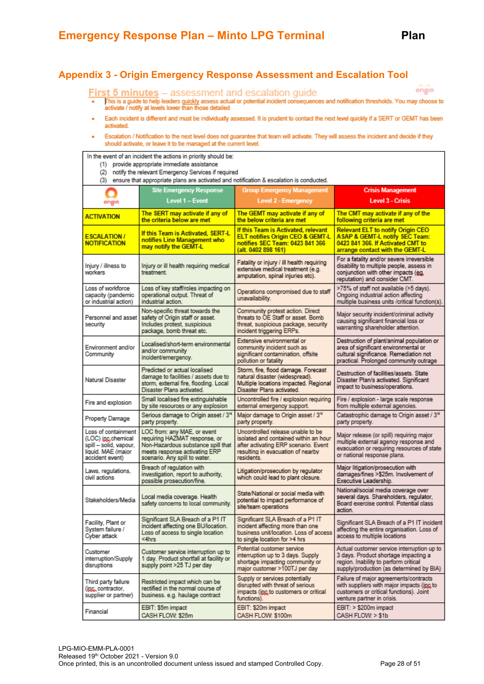# <span id="page-27-0"></span>**Appendix 3 - Origin Emergency Response Assessment and Escalation Tool**

#### **First 5 minutes** - assessment and escalation guide

origin

- This is a guide to help leaders guiddy assess actual or potential incident consequences and notification thresholds. You may choose to<br>activate / notify at levels lower than those detailed
- Each incident is different and must be individually assessed. It is prudent to contact the next level quickly if a SERT or GEMT has been ä activated.
- Escalation / Notification to the next level does not guarantee that team will activate. They will assess the incident and decide if they should activate, or leave it to be managed at the current level.

In the event of an incident the actions in priority should be:

- (1) provide appropriate immediate assistance
- (2) notify the relevant Emergency Services if required

|  |  |  |  |  | (3) ensure that appropriate plans are activated and notification & escalation is conducted. |  |  |
|--|--|--|--|--|---------------------------------------------------------------------------------------------|--|--|
|--|--|--|--|--|---------------------------------------------------------------------------------------------|--|--|

|                                                                                                               | <b>Site Emergency Response</b>                                                                                                                                       | <b>Group Emergency Management</b>                                                                                                                                     | <b>Crisis Management</b>                                                                                                                                                |
|---------------------------------------------------------------------------------------------------------------|----------------------------------------------------------------------------------------------------------------------------------------------------------------------|-----------------------------------------------------------------------------------------------------------------------------------------------------------------------|-------------------------------------------------------------------------------------------------------------------------------------------------------------------------|
| origin                                                                                                        | Level 1 - Event                                                                                                                                                      | Level 2 - Emergency                                                                                                                                                   | <b>Level 3 - Crisis</b>                                                                                                                                                 |
| <b>ACTIVATION</b>                                                                                             | The SERT may activate if any of<br>the criteria below are met                                                                                                        | The GEMT may activate if any of<br>the below criteria are met                                                                                                         | The CMT may activate if any of the<br>following criteria are met                                                                                                        |
| <b>ESCALATION /</b><br><b>NOTIFICATION</b>                                                                    | If this Team is Activated, SERT-L<br>notifies Line Management who<br>may notify the GEMT-L                                                                           | If this Team is Activated, relevant<br>ELT notifies Origin CEO & GEMT-L<br>notifies SEC Team: 0423 841 366<br>(alt. 0402 898 161)                                     | Relevant ELT to notify Origin CEO<br><b>ASAP &amp; GEMT-L notify SEC Team:</b><br>0423 841 366. If Activated CMT to<br>arrange contact with the GEMT-L                  |
| Injury / illness to<br>workers                                                                                | Injury or ill health requiring medical<br>treatment.                                                                                                                 | Fatality or injury / ill health requiring<br>extensive medical treatment (e.g.<br>amputation, spinal injuries etc).                                                   | For a fatality and/or severe irreversible<br>disability to multiple people, assess in<br>conjunction with other impacts (eg.<br>reputation) and consider CMT.           |
| Loss of workforce<br>capacity (pandemic<br>or industrial action)                                              | Loss of key staff/roles impacting on<br>operational output. Threat of<br>industrial action.                                                                          | Operations compromised due to staff<br>unavailability.                                                                                                                | >75% of staff not available (>5 days).<br>Ongoing industrial action affecting<br>multiple business units /critical function(s).                                         |
| Personnel and asset<br>security                                                                               | Non-specific threat towards the<br>safety of Origin staff or asset.<br>Includes protest, suspicious<br>package, bomb threat etc.                                     | Community protest action. Direct<br>threats to OE Staff or asset. Bomb<br>threat, suspicious package, security<br>incident triggering ERPs.                           | Major security incident/criminal activity<br>causing significant financial loss or<br>warranting shareholder attention.                                                 |
| Environment and/or<br>Community                                                                               | Localised/short-term environmental<br>and/or community<br>incident/emergency.                                                                                        | Extensive environmental or<br>community incident such as<br>significant contamination, offsite<br>pollution or fatality                                               | Destruction of plant/animal population or<br>area of significant environmental or<br>cultural significance. Remediation not<br>practical. Prolonged community outrage   |
| Natural Disaster                                                                                              | Predicted or actual localised<br>damage to facilities / assets due to<br>storm, external fire, flooding. Local<br>Disaster Plans activated.                          | Storm, fire, flood damage. Forecast<br>natural disaster (widespread).<br>Multiple locations impacted. Regional<br>Disaster Plans activated.                           | Destruction of facilities/assets. State<br>Disaster Plan/s activated. Significant<br>impact to business/operations.                                                     |
| Fire and explosion                                                                                            | Small localised fire extinguishable<br>by site resources or any explosion                                                                                            | Uncontrolled fire / explosion requiring<br>external emergency support.                                                                                                | Fire / explosion - large scale response<br>from multiple external agencies.                                                                                             |
| Property Damage                                                                                               | Serious damage to Origin asset / 3rd<br>party property.                                                                                                              | Major damage to Origin asset / 3 <sup>rd</sup><br>party property.                                                                                                     | Catastrophic damage to Origin asset / 3 <sup>rd</sup><br>party property.                                                                                                |
| Loss of containment<br>(LOC) inc.chemical<br>spill -- solid, vapour,<br>liquid. MAE (major<br>accident event) | LOC from: any MAE, or event<br>requiring HAZMAT response, or<br>Non-Hazardous substance spill that<br>meets response activating ERP<br>scenario. Any spill to water. | Uncontrolled release unable to be<br>isolated and contained within an hour<br>after activating ERP scenario. Event<br>resulting in evacuation of nearby<br>residents. | Major release (or spill) requiring major<br>multiple external agency response and<br>evacuation or requiring resources of state<br>or national response plans.          |
| Laws, regulations,<br>civil actions                                                                           | Breach of regulation with<br>investigation, report to authority,<br>possible prosecution/fine.                                                                       | Litigation/prosecution by regulator<br>which could lead to plant closure.                                                                                             | Major litigation/prosecution with<br>damages/fines >\$25m. Involvement of<br>Executive Leadership.                                                                      |
| Stakeholders/Media                                                                                            | Local media coverage. Health<br>safety concerns to local community.                                                                                                  | State/National or social media with<br>potential to impact performance of<br>site/team operations                                                                     | National/social media coverage over<br>several days. Shareholders, regulator,<br>Board exercise control. Potential class<br>action.                                     |
| Facility, Plant or<br>System failure /<br>Cyber attack                                                        | Significant SLA Breach of a P1 IT<br>incident affecting one BU/location.<br>Loss of access to single location<br><4hrs                                               | Significant SLA Breach of a P1 IT<br>incident affecting more than one<br>business unit/location. Loss of access<br>to single location for >4 hrs                      | Significant SLA Breach of a P1 IT incident<br>affecting the entire organisation. Loss of<br>access to multiple locations                                                |
| Customer<br>interruption/Supply<br>disruptions                                                                | Customer service interruption up to<br>1 day. Product shortfall at facility or<br>supply point >25 TJ per day                                                        | Potential customer service<br>interruption up to 3 days. Supply<br>shortage impacting community or<br>major customer >100TJ per day                                   | Actual customer service interruption up to<br>3 days. Product shortage impacting a<br>region. Inability to perform critical<br>supply/production (as determined by BIA) |
| Third party failure<br>(inc. contractor.<br>supplier or partner)                                              | Restricted impact which can be<br>rectified in the normal course of<br>business. e.g. haulage contract                                                               | Supply or services potentially<br>disrupted with threat of serious<br>impacts (inc.to customers or critical<br>functions).                                            | Failure of major agreements/contracts<br>with suppliers with major impacts (inc.to<br>customers or critical functions). Joint<br>venture partner in crisis.             |
| Financial                                                                                                     | EBIT: \$5m impact<br>CASH FLOW: \$25m                                                                                                                                | EBIT: \$20m impact<br>CASH FLOW: \$100m                                                                                                                               | EBIT: > \$200m impact<br>CASH FLOW: > \$1b                                                                                                                              |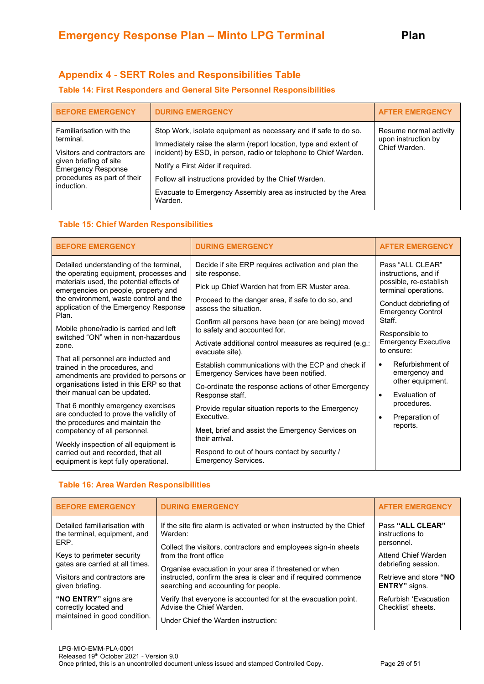# <span id="page-28-0"></span>**Appendix 4 - SERT Roles and Responsibilities Table**

### **Table 14: First Responders and General Site Personnel Responsibilities**

| <b>BEFORE EMERGENCY</b>                                                                                                                                                   | <b>DURING EMERGENCY</b>                                                                                                                                                                                                                                                                                                                                                           | <b>AFTER EMERGENCY</b>                                         |
|---------------------------------------------------------------------------------------------------------------------------------------------------------------------------|-----------------------------------------------------------------------------------------------------------------------------------------------------------------------------------------------------------------------------------------------------------------------------------------------------------------------------------------------------------------------------------|----------------------------------------------------------------|
| Familiarisation with the<br>terminal.<br>Visitors and contractors are<br>given briefing of site<br><b>Emergency Response</b><br>procedures as part of their<br>induction. | Stop Work, isolate equipment as necessary and if safe to do so.<br>Immediately raise the alarm (report location, type and extent of<br>incident) by ESD, in person, radio or telephone to Chief Warden.<br>Notify a First Aider if required.<br>Follow all instructions provided by the Chief Warden.<br>Evacuate to Emergency Assembly area as instructed by the Area<br>Warden. | Resume normal activity<br>upon instruction by<br>Chief Warden. |

#### **Table 15: Chief Warden Responsibilities**

| <b>BEFORE EMERGENCY</b>                                                                                                                                                                                                                                                              | <b>DURING EMERGENCY</b>                                                                                                                                                                                                                                                                                                                    | <b>AFTER EMERGENCY</b>                                                                                                                                                |
|--------------------------------------------------------------------------------------------------------------------------------------------------------------------------------------------------------------------------------------------------------------------------------------|--------------------------------------------------------------------------------------------------------------------------------------------------------------------------------------------------------------------------------------------------------------------------------------------------------------------------------------------|-----------------------------------------------------------------------------------------------------------------------------------------------------------------------|
| Detailed understanding of the terminal,<br>the operating equipment, processes and<br>materials used, the potential effects of<br>emergencies on people, property and<br>the environment, waste control and the<br>application of the Emergency Response<br>Plan.                     | Decide if site ERP requires activation and plan the<br>site response.<br>Pick up Chief Warden hat from ER Muster area.<br>Proceed to the danger area, if safe to do so, and<br>assess the situation.                                                                                                                                       | Pass "ALL CLEAR"<br>instructions, and if<br>possible, re-establish<br>terminal operations.<br>Conduct debriefing of<br><b>Emergency Control</b><br>Staff.             |
| Mobile phone/radio is carried and left<br>switched "ON" when in non-hazardous<br>zone.<br>That all personnel are inducted and<br>trained in the procedures, and<br>amendments are provided to persons or<br>organisations listed in this ERP so that<br>their manual can be updated. | Confirm all persons have been (or are being) moved<br>to safety and accounted for.<br>Activate additional control measures as required (e.g.:<br>evacuate site).<br>Establish communications with the ECP and check if<br>Emergency Services have been notified.<br>Co-ordinate the response actions of other Emergency<br>Response staff. | Responsible to<br><b>Emergency Executive</b><br>to ensure:<br>Refurbishment of<br>$\bullet$<br>emergency and<br>other equipment.<br><b>Fyaluation of</b><br>$\bullet$ |
| That 6 monthly emergency exercises<br>are conducted to prove the validity of<br>the procedures and maintain the<br>competency of all personnel.<br>Weekly inspection of all equipment is<br>carried out and recorded, that all<br>equipment is kept fully operational.               | Provide regular situation reports to the Emergency<br>Executive.<br>Meet, brief and assist the Emergency Services on<br>their arrival.<br>Respond to out of hours contact by security /<br><b>Emergency Services.</b>                                                                                                                      | procedures.<br>Preparation of<br>$\bullet$<br>reports.                                                                                                                |

# **Table 16: Area Warden Responsibilities**

| <b>BEFORE EMERGENCY</b>                                                        | <b>DURING EMERGENCY</b>                                                                                                           | <b>AFTER EMERGENCY</b>                      |
|--------------------------------------------------------------------------------|-----------------------------------------------------------------------------------------------------------------------------------|---------------------------------------------|
| Detailed familiarisation with                                                  | If the site fire alarm is activated or when instructed by the Chief                                                               | Pass "ALL CLEAR"                            |
| the terminal, equipment, and                                                   | Warden:                                                                                                                           | instructions to                             |
| ERP.                                                                           | Collect the visitors, contractors and employees sign-in sheets                                                                    | personnel.                                  |
| Keys to perimeter security                                                     | from the front office                                                                                                             | Attend Chief Warden                         |
| gates are carried at all times.                                                | Organise evacuation in your area if threatened or when                                                                            | debriefing session.                         |
| Visitors and contractors are                                                   | instructed, confirm the area is clear and if required commence                                                                    | Retrieve and store "NO                      |
| given briefing.                                                                | searching and accounting for people.                                                                                              | <b>ENTRY</b> " signs.                       |
| "NO ENTRY" signs are<br>correctly located and<br>maintained in good condition. | Verify that everyone is accounted for at the evacuation point.<br>Advise the Chief Warden.<br>Under Chief the Warden instruction: | Refurbish 'Evacuation<br>Checklist' sheets. |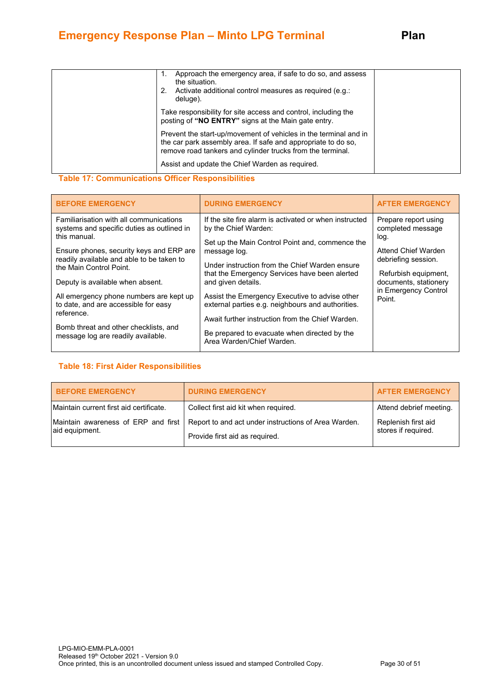| Approach the emergency area, if safe to do so, and assess<br>1.<br>the situation.<br>Activate additional control measures as required (e.g.:<br>2.<br>deluge).                                  |  |
|-------------------------------------------------------------------------------------------------------------------------------------------------------------------------------------------------|--|
| Take responsibility for site access and control, including the<br>posting of "NO ENTRY" signs at the Main gate entry.                                                                           |  |
| Prevent the start-up/movement of vehicles in the terminal and in<br>the car park assembly area. If safe and appropriate to do so,<br>remove road tankers and cylinder trucks from the terminal. |  |
| Assist and update the Chief Warden as required.                                                                                                                                                 |  |

#### **Table 17: Communications Officer Responsibilities**

| <b>BEFORE EMERGENCY</b>                                                                                                                                                                                                   | <b>DURING EMERGENCY</b>                                                                                                                                                                             | <b>AFTER EMERGENCY</b>                                                                          |
|---------------------------------------------------------------------------------------------------------------------------------------------------------------------------------------------------------------------------|-----------------------------------------------------------------------------------------------------------------------------------------------------------------------------------------------------|-------------------------------------------------------------------------------------------------|
| Familiarisation with all communications<br>systems and specific duties as outlined in<br>this manual.<br>Ensure phones, security keys and ERP are<br>readily available and able to be taken to<br>the Main Control Point. | If the site fire alarm is activated or when instructed<br>by the Chief Warden:<br>Set up the Main Control Point and, commence the<br>message log.<br>Under instruction from the Chief Warden ensure | Prepare report using<br>completed message<br>log.<br>Attend Chief Warden<br>debriefing session. |
| Deputy is available when absent.                                                                                                                                                                                          | that the Emergency Services have been alerted<br>and given details.                                                                                                                                 | Refurbish equipment,<br>documents, stationery                                                   |
| All emergency phone numbers are kept up<br>to date, and are accessible for easy<br>reference.                                                                                                                             | Assist the Emergency Executive to advise other<br>external parties e.g. neighbours and authorities.                                                                                                 | in Emergency Control<br>Point.                                                                  |
|                                                                                                                                                                                                                           | Await further instruction from the Chief Warden.                                                                                                                                                    |                                                                                                 |
| Bomb threat and other checklists, and<br>message log are readily available.                                                                                                                                               | Be prepared to evacuate when directed by the<br>Area Warden/Chief Warden.                                                                                                                           |                                                                                                 |

#### **Table 18: First Aider Responsibilities**

| <b>BEFORE EMERGENCY</b>                               | <b>DURING EMERGENCY</b>                                                                | <b>AFTER EMERGENCY</b>                     |
|-------------------------------------------------------|----------------------------------------------------------------------------------------|--------------------------------------------|
| Maintain current first aid certificate.               | Collect first aid kit when required.                                                   | Attend debrief meeting.                    |
| Maintain awareness of ERP and first<br>aid equipment. | Report to and act under instructions of Area Warden.<br>Provide first aid as required. | Replenish first aid<br>stores if required. |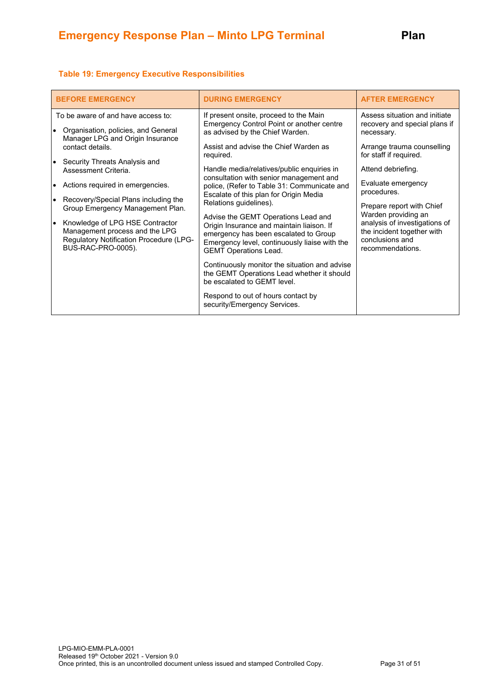#### **Table 19: Emergency Executive Responsibilities**

| <b>BEFORE EMERGENCY</b>                                                                                                                  | <b>DURING EMERGENCY</b>                                                                                                                                                                                    | <b>AFTER EMERGENCY</b>                                                                             |
|------------------------------------------------------------------------------------------------------------------------------------------|------------------------------------------------------------------------------------------------------------------------------------------------------------------------------------------------------------|----------------------------------------------------------------------------------------------------|
| To be aware of and have access to:<br>Organisation, policies, and General<br>$\bullet$                                                   | If present onsite, proceed to the Main<br>Emergency Control Point or another centre<br>as advised by the Chief Warden.                                                                                     | Assess situation and initiate<br>recovery and special plans if<br>necessary.                       |
| Manager LPG and Origin Insurance<br>contact details.<br>Security Threats Analysis and<br>$\bullet$                                       | Assist and advise the Chief Warden as<br>required.                                                                                                                                                         | Arrange trauma counselling<br>for staff if required.                                               |
| Assessment Criteria.<br>Actions required in emergencies.<br>$\bullet$                                                                    | Handle media/relatives/public enquiries in<br>consultation with senior management and<br>police, (Refer to Table 31: Communicate and                                                                       | Attend debriefing.<br>Evaluate emergency                                                           |
| Recovery/Special Plans including the<br>Group Emergency Management Plan.                                                                 | Escalate of this plan for Origin Media<br>Relations guidelines).                                                                                                                                           | procedures.<br>Prepare report with Chief<br>Warden providing an                                    |
| Knowledge of LPG HSE Contractor<br>lo<br>Management process and the LPG<br>Regulatory Notification Procedure (LPG-<br>BUS-RAC-PRO-0005). | Advise the GEMT Operations Lead and<br>Origin Insurance and maintain liaison. If<br>emergency has been escalated to Group<br>Emergency level, continuously liaise with the<br><b>GEMT Operations Lead.</b> | analysis of investigations of<br>the incident together with<br>conclusions and<br>recommendations. |
|                                                                                                                                          | Continuously monitor the situation and advise<br>the GEMT Operations Lead whether it should<br>be escalated to GEMT level.                                                                                 |                                                                                                    |
|                                                                                                                                          | Respond to out of hours contact by<br>security/Emergency Services.                                                                                                                                         |                                                                                                    |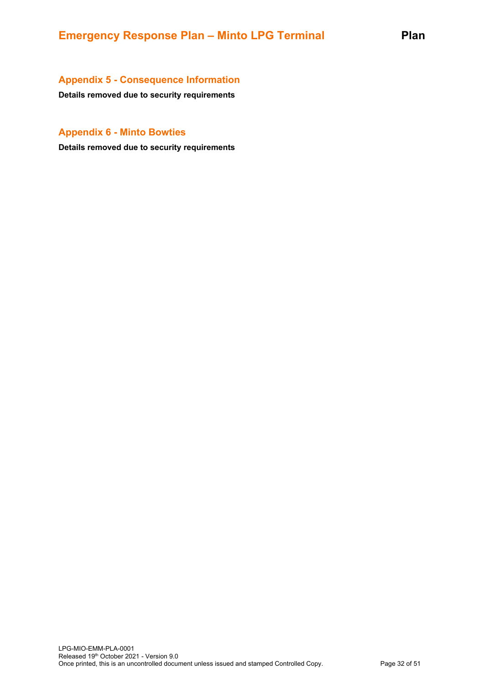# <span id="page-31-0"></span>**Appendix 5 - Consequence Information**

**Details removed due to security requirements**

# <span id="page-31-1"></span>**Appendix 6 - Minto Bowties**

**Details removed due to security requirements**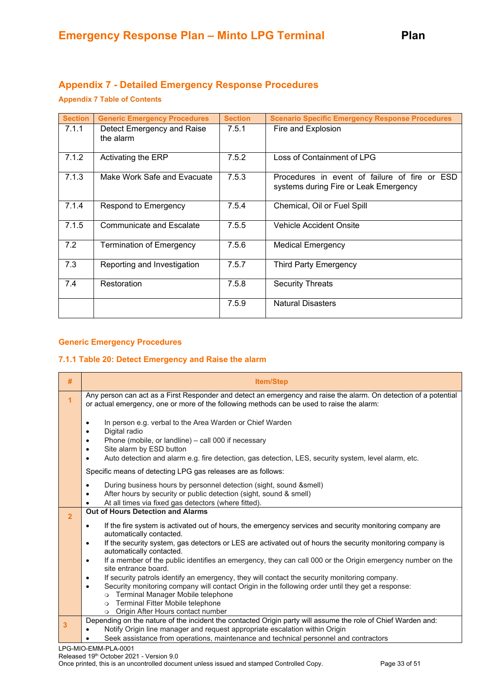# <span id="page-32-0"></span>**Appendix 7 - Detailed Emergency Response Procedures**

## **Appendix 7 Table of Contents**

| <b>Section</b> | <b>Generic Emergency Procedures</b>     | <b>Section</b> | <b>Scenario Specific Emergency Response Procedures</b>                                 |
|----------------|-----------------------------------------|----------------|----------------------------------------------------------------------------------------|
| 7.1.1          | Detect Emergency and Raise<br>the alarm | 7.5.1          | Fire and Explosion                                                                     |
| 7.1.2          | Activating the ERP                      | 7.5.2          | Loss of Containment of LPG                                                             |
| 7.1.3          | Make Work Safe and Evacuate             | 7.5.3          | Procedures in event of failure of fire or ESD<br>systems during Fire or Leak Emergency |
| 7.1.4          | Respond to Emergency                    | 7.5.4          | Chemical, Oil or Fuel Spill                                                            |
| 7.1.5          | <b>Communicate and Escalate</b>         | 7.5.5          | <b>Vehicle Accident Onsite</b>                                                         |
| 7.2            | <b>Termination of Emergency</b>         | 7.5.6          | <b>Medical Emergency</b>                                                               |
| 7.3            | Reporting and Investigation             | 7.5.7          | <b>Third Party Emergency</b>                                                           |
| 7.4            | Restoration                             | 7.5.8          | <b>Security Threats</b>                                                                |
|                |                                         | 7.5.9          | <b>Natural Disasters</b>                                                               |

#### **Generic Emergency Procedures**

#### **7.1.1 Table 20: Detect Emergency and Raise the alarm**

| #              | <b>Item/Step</b>                                                                                                                                                                                                                                                     |
|----------------|----------------------------------------------------------------------------------------------------------------------------------------------------------------------------------------------------------------------------------------------------------------------|
| $\overline{1}$ | Any person can act as a First Responder and detect an emergency and raise the alarm. On detection of a potential<br>or actual emergency, one or more of the following methods can be used to raise the alarm:                                                        |
|                | In person e.g. verbal to the Area Warden or Chief Warden<br>Digital radio<br>Phone (mobile, or landline) - call 000 if necessary<br>Site alarm by ESD button<br>Auto detection and alarm e.g. fire detection, gas detection, LES, security system, level alarm, etc. |
|                | Specific means of detecting LPG gas releases are as follows:                                                                                                                                                                                                         |
|                | During business hours by personnel detection (sight, sound & smell)<br>After hours by security or public detection (sight, sound & smell)<br>At all times via fixed gas detectors (where fitted).                                                                    |
| $\overline{2}$ | Out of Hours Detection and Alarms                                                                                                                                                                                                                                    |
|                | If the fire system is activated out of hours, the emergency services and security monitoring company are<br>$\bullet$<br>automatically contacted.                                                                                                                    |
|                | If the security system, gas detectors or LES are activated out of hours the security monitoring company is<br>$\bullet$<br>automatically contacted.                                                                                                                  |
|                | If a member of the public identifies an emergency, they can call 000 or the Origin emergency number on the<br>$\bullet$<br>site entrance board.                                                                                                                      |
|                | If security patrols identify an emergency, they will contact the security monitoring company.<br>$\bullet$                                                                                                                                                           |
|                | Security monitoring company will contact Origin in the following order until they get a response:<br>$\bullet$<br>Terminal Manager Mobile telephone<br>$\circ$                                                                                                       |
|                | Terminal Fitter Mobile telephone<br>$\circ$                                                                                                                                                                                                                          |
|                | Origin After Hours contact number<br>$\circ$                                                                                                                                                                                                                         |
| 3              | Depending on the nature of the incident the contacted Origin party will assume the role of Chief Warden and:                                                                                                                                                         |
|                | Notify Origin line manager and request appropriate escalation within Origin<br>Seek assistance from operations, maintenance and technical personnel and contractors                                                                                                  |
|                | PG-MIO-EMM-PLA-0001                                                                                                                                                                                                                                                  |

LPG-MIO-EMM-PLA-0001 Released 19th October 2021 - Version 9.0

Once printed, this is an uncontrolled document unless issued and stamped Controlled Copy. Page 33 of 51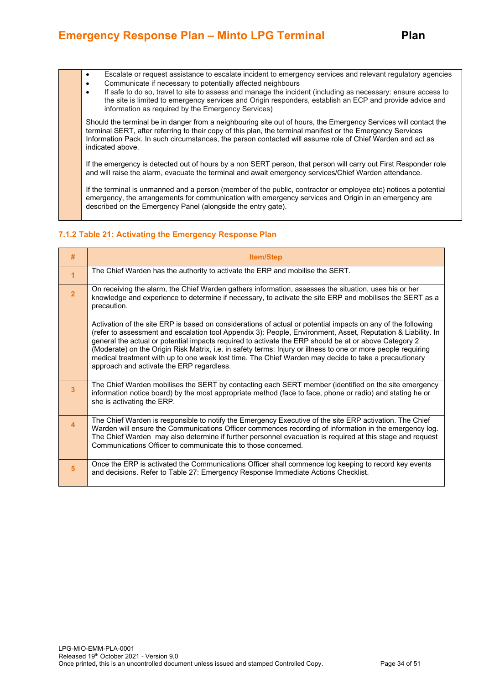- Escalate or request assistance to escalate incident to emergency services and relevant regulatory agencies
- Communicate if necessary to potentially affected neighbours
- If safe to do so, travel to site to assess and manage the incident (including as necessary: ensure access to the site is limited to emergency services and Origin responders, establish an ECP and provide advice and information as required by the Emergency Services)

Should the terminal be in danger from a neighbouring site out of hours, the Emergency Services will contact the terminal SERT, after referring to their copy of this plan, the terminal manifest or the Emergency Services Information Pack. In such circumstances, the person contacted will assume role of Chief Warden and act as indicated above.

If the emergency is detected out of hours by a non SERT person, that person will carry out First Responder role and will raise the alarm, evacuate the terminal and await emergency services/Chief Warden attendance.

If the terminal is unmanned and a person (member of the public, contractor or employee etc) notices a potential emergency, the arrangements for communication with emergency services and Origin in an emergency are described on the Emergency Panel (alongside the entry gate).

# **7.1.2 Table 21: Activating the Emergency Response Plan**

| #                | <b>Item/Step</b>                                                                                                                                                                                                                                                                                                                                                                                                                                                                                                                                                                                            |
|------------------|-------------------------------------------------------------------------------------------------------------------------------------------------------------------------------------------------------------------------------------------------------------------------------------------------------------------------------------------------------------------------------------------------------------------------------------------------------------------------------------------------------------------------------------------------------------------------------------------------------------|
| $\overline{1}$   | The Chief Warden has the authority to activate the ERP and mobilise the SERT.                                                                                                                                                                                                                                                                                                                                                                                                                                                                                                                               |
| $\overline{2}$   | On receiving the alarm, the Chief Warden gathers information, assesses the situation, uses his or her<br>knowledge and experience to determine if necessary, to activate the site ERP and mobilises the SERT as a<br>precaution.                                                                                                                                                                                                                                                                                                                                                                            |
|                  | Activation of the site ERP is based on considerations of actual or potential impacts on any of the following<br>(refer to assessment and escalation tool Appendix 3): People, Environment, Asset, Reputation & Liability. In<br>general the actual or potential impacts required to activate the ERP should be at or above Category 2<br>(Moderate) on the Origin Risk Matrix, i.e. in safety terms: Injury or illness to one or more people requiring<br>medical treatment with up to one week lost time. The Chief Warden may decide to take a precautionary<br>approach and activate the ERP regardless. |
| $\overline{3}$   | The Chief Warden mobilises the SERT by contacting each SERT member (identified on the site emergency<br>information notice board) by the most appropriate method (face to face, phone or radio) and stating he or<br>she is activating the ERP.                                                                                                                                                                                                                                                                                                                                                             |
| $\blacktriangle$ | The Chief Warden is responsible to notify the Emergency Executive of the site ERP activation. The Chief<br>Warden will ensure the Communications Officer commences recording of information in the emergency log.<br>The Chief Warden may also determine if further personnel evacuation is required at this stage and request<br>Communications Officer to communicate this to those concerned.                                                                                                                                                                                                            |
| 5                | Once the ERP is activated the Communications Officer shall commence log keeping to record key events<br>and decisions. Refer to Table 27: Emergency Response Immediate Actions Checklist.                                                                                                                                                                                                                                                                                                                                                                                                                   |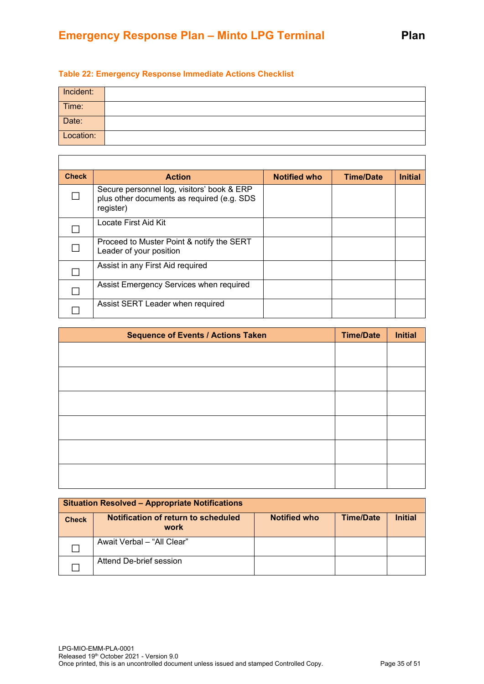# **Table 22: Emergency Response Immediate Actions Checklist**

 $\mathsf{r}$ 

| Incident: |  |
|-----------|--|
| Time:     |  |
| Date:     |  |
| Location: |  |

| <b>Check</b> | <b>Action</b>                                                                                         | <b>Notified who</b> | <b>Time/Date</b> | <b>Initial</b> |
|--------------|-------------------------------------------------------------------------------------------------------|---------------------|------------------|----------------|
|              | Secure personnel log, visitors' book & ERP<br>plus other documents as required (e.g. SDS<br>register) |                     |                  |                |
|              | Locate First Aid Kit                                                                                  |                     |                  |                |
|              | Proceed to Muster Point & notify the SERT<br>Leader of your position                                  |                     |                  |                |
|              | Assist in any First Aid required                                                                      |                     |                  |                |
|              | Assist Emergency Services when required                                                               |                     |                  |                |
|              | Assist SERT Leader when required                                                                      |                     |                  |                |

| <b>Sequence of Events / Actions Taken</b> | <b>Time/Date</b> | <b>Initial</b> |
|-------------------------------------------|------------------|----------------|
|                                           |                  |                |
|                                           |                  |                |
|                                           |                  |                |
|                                           |                  |                |
|                                           |                  |                |
|                                           |                  |                |

| <b>Situation Resolved - Appropriate Notifications</b> |                                             |                     |                  |                |
|-------------------------------------------------------|---------------------------------------------|---------------------|------------------|----------------|
| <b>Check</b>                                          | Notification of return to scheduled<br>work | <b>Notified who</b> | <b>Time/Date</b> | <b>Initial</b> |
|                                                       | Await Verbal - "All Clear"                  |                     |                  |                |
|                                                       | Attend De-brief session                     |                     |                  |                |

┑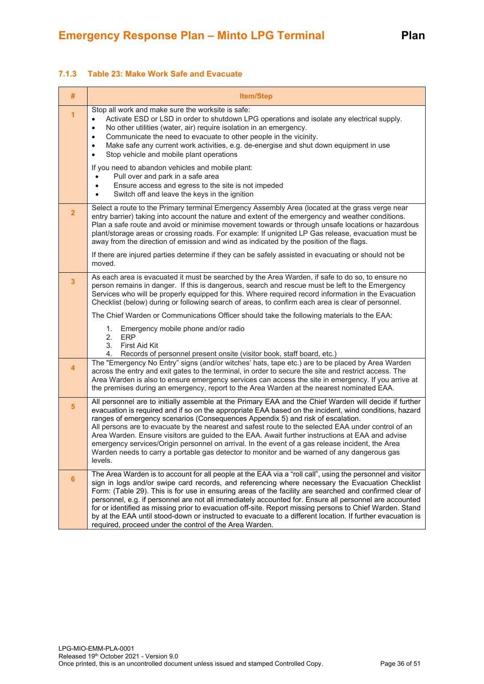#### **7.1.3 Table 23: Make Work Safe and Evacuate**

| #                       | <b>Item/Step</b>                                                                                                                                                                                                                                                                                                                                                                                                                                                                                                                                                                                                                                                                                                             |
|-------------------------|------------------------------------------------------------------------------------------------------------------------------------------------------------------------------------------------------------------------------------------------------------------------------------------------------------------------------------------------------------------------------------------------------------------------------------------------------------------------------------------------------------------------------------------------------------------------------------------------------------------------------------------------------------------------------------------------------------------------------|
| 1                       | Stop all work and make sure the worksite is safe:<br>Activate ESD or LSD in order to shutdown LPG operations and isolate any electrical supply.<br>$\bullet$<br>No other utilities (water, air) require isolation in an emergency.<br>٠<br>Communicate the need to evacuate to other people in the vicinity.<br>$\bullet$<br>Make safe any current work activities, e.g. de-energise and shut down equipment in use<br>$\bullet$<br>Stop vehicle and mobile plant operations<br>$\bullet$                                                                                                                                                                                                                                    |
|                         | If you need to abandon vehicles and mobile plant:<br>Pull over and park in a safe area<br>Ensure access and egress to the site is not impeded<br>Switch off and leave the keys in the ignition                                                                                                                                                                                                                                                                                                                                                                                                                                                                                                                               |
| $\overline{\mathbf{2}}$ | Select a route to the Primary terminal Emergency Assembly Area (located at the grass verge near<br>entry barrier) taking into account the nature and extent of the emergency and weather conditions.<br>Plan a safe route and avoid or minimise movement towards or through unsafe locations or hazardous<br>plant/storage areas or crossing roads. For example: If unignited LP Gas release, evacuation must be<br>away from the direction of emission and wind as indicated by the position of the flags.                                                                                                                                                                                                                  |
|                         | If there are injured parties determine if they can be safely assisted in evacuating or should not be<br>moved.                                                                                                                                                                                                                                                                                                                                                                                                                                                                                                                                                                                                               |
| 3                       | As each area is evacuated it must be searched by the Area Warden, if safe to do so, to ensure no<br>person remains in danger. If this is dangerous, search and rescue must be left to the Emergency<br>Services who will be properly equipped for this. Where required record information in the Evacuation<br>Checklist (below) during or following search of areas, to confirm each area is clear of personnel.                                                                                                                                                                                                                                                                                                            |
|                         | The Chief Warden or Communications Officer should take the following materials to the EAA:                                                                                                                                                                                                                                                                                                                                                                                                                                                                                                                                                                                                                                   |
|                         | 1. Emergency mobile phone and/or radio<br>2. ERP<br>3.<br>First Aid Kit<br>Records of personnel present onsite (visitor book, staff board, etc.)<br>4.                                                                                                                                                                                                                                                                                                                                                                                                                                                                                                                                                                       |
| 4                       | The "Emergency No Entry" signs (and/or witches' hats, tape etc.) are to be placed by Area Warden<br>across the entry and exit gates to the terminal, in order to secure the site and restrict access. The<br>Area Warden is also to ensure emergency services can access the site in emergency. If you arrive at<br>the premises during an emergency, report to the Area Warden at the nearest nominated EAA.                                                                                                                                                                                                                                                                                                                |
| 5                       | All personnel are to initially assemble at the Primary EAA and the Chief Warden will decide if further<br>evacuation is required and if so on the appropriate EAA based on the incident, wind conditions, hazard<br>ranges of emergency scenarios (Consequences Appendix 5) and risk of escalation.<br>All persons are to evacuate by the nearest and safest route to the selected EAA under control of an<br>Area Warden. Ensure visitors are guided to the EAA. Await further instructions at EAA and advise<br>emergency services/Origin personnel on arrival. In the event of a gas release incident, the Area<br>Warden needs to carry a portable gas detector to monitor and be warned of any dangerous gas<br>levels. |
| 6                       | The Area Warden is to account for all people at the EAA via a "roll call", using the personnel and visitor<br>sign in logs and/or swipe card records, and referencing where necessary the Evacuation Checklist<br>Form: (Table 29). This is for use in ensuring areas of the facility are searched and confirmed clear of<br>personnel, e.g. if personnel are not all immediately accounted for. Ensure all personnel are accounted<br>for or identified as missing prior to evacuation off-site. Report missing persons to Chief Warden. Stand<br>by at the EAA until stood-down or instructed to evacuate to a different location. If further evacuation is<br>required, proceed under the control of the Area Warden.     |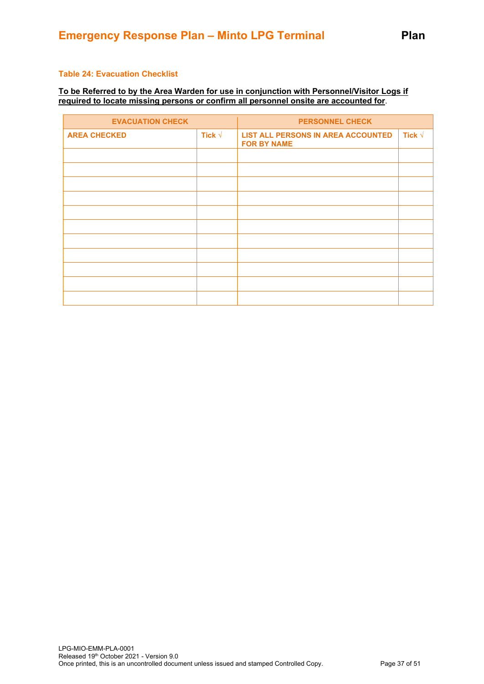#### **Table 24: Evacuation Checklist**

#### **To be Referred to by the Area Warden for use in conjunction with Personnel/Visitor Logs if required to locate missing persons or confirm all personnel onsite are accounted for**.

| <b>EVACUATION CHECK</b> |                 | <b>PERSONNEL CHECK</b>                                          |                 |
|-------------------------|-----------------|-----------------------------------------------------------------|-----------------|
| <b>AREA CHECKED</b>     | Tick $\sqrt{ }$ | <b>LIST ALL PERSONS IN AREA ACCOUNTED</b><br><b>FOR BY NAME</b> | Tick $\sqrt{ }$ |
|                         |                 |                                                                 |                 |
|                         |                 |                                                                 |                 |
|                         |                 |                                                                 |                 |
|                         |                 |                                                                 |                 |
|                         |                 |                                                                 |                 |
|                         |                 |                                                                 |                 |
|                         |                 |                                                                 |                 |
|                         |                 |                                                                 |                 |
|                         |                 |                                                                 |                 |
|                         |                 |                                                                 |                 |
|                         |                 |                                                                 |                 |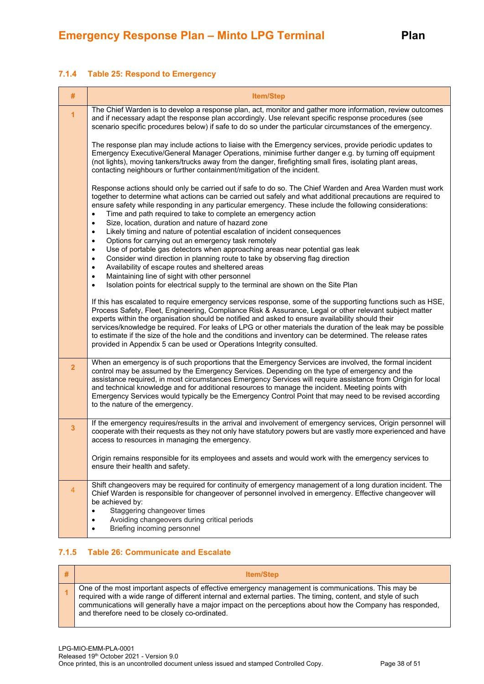#### **7.1.4 Table 25: Respond to Emergency**

| #              | <b>Item/Step</b>                                                                                                                                                                                                                                                                                                                                                                                                                                                                                                                                                                                                                       |
|----------------|----------------------------------------------------------------------------------------------------------------------------------------------------------------------------------------------------------------------------------------------------------------------------------------------------------------------------------------------------------------------------------------------------------------------------------------------------------------------------------------------------------------------------------------------------------------------------------------------------------------------------------------|
| $\overline{1}$ | The Chief Warden is to develop a response plan, act, monitor and gather more information, review outcomes<br>and if necessary adapt the response plan accordingly. Use relevant specific response procedures (see<br>scenario specific procedures below) if safe to do so under the particular circumstances of the emergency.                                                                                                                                                                                                                                                                                                         |
|                | The response plan may include actions to liaise with the Emergency services, provide periodic updates to<br>Emergency Executive/General Manager Operations, minimise further danger e.g. by turning off equipment<br>(not lights), moving tankers/trucks away from the danger, firefighting small fires, isolating plant areas,<br>contacting neighbours or further containment/mitigation of the incident.                                                                                                                                                                                                                            |
|                | Response actions should only be carried out if safe to do so. The Chief Warden and Area Warden must work<br>together to determine what actions can be carried out safely and what additional precautions are required to<br>ensure safety while responding in any particular emergency. These include the following considerations:<br>Time and path required to take to complete an emergency action<br>Size, location, duration and nature of hazard zone<br>$\bullet$<br>Likely timing and nature of potential escalation of incident consequences<br>$\bullet$<br>Options for carrying out an emergency task remotely<br>$\bullet$ |
|                | Use of portable gas detectors when approaching areas near potential gas leak<br>٠<br>Consider wind direction in planning route to take by observing flag direction<br>٠<br>Availability of escape routes and sheltered areas<br>٠                                                                                                                                                                                                                                                                                                                                                                                                      |
|                | Maintaining line of sight with other personnel<br>$\bullet$<br>Isolation points for electrical supply to the terminal are shown on the Site Plan<br>$\bullet$                                                                                                                                                                                                                                                                                                                                                                                                                                                                          |
|                | If this has escalated to require emergency services response, some of the supporting functions such as HSE,<br>Process Safety, Fleet, Engineering, Compliance Risk & Assurance, Legal or other relevant subject matter<br>experts within the organisation should be notified and asked to ensure availability should their<br>services/knowledge be required. For leaks of LPG or other materials the duration of the leak may be possible<br>to estimate if the size of the hole and the conditions and inventory can be determined. The release rates<br>provided in Appendix 5 can be used or Operations Integrity consulted.       |
| $\overline{2}$ | When an emergency is of such proportions that the Emergency Services are involved, the formal incident<br>control may be assumed by the Emergency Services. Depending on the type of emergency and the<br>assistance required, in most circumstances Emergency Services will require assistance from Origin for local<br>and technical knowledge and for additional resources to manage the incident. Meeting points with<br>Emergency Services would typically be the Emergency Control Point that may need to be revised according<br>to the nature of the emergency.                                                                |
| $\mathbf{3}$   | If the emergency requires/results in the arrival and involvement of emergency services, Origin personnel will<br>cooperate with their requests as they not only have statutory powers but are vastly more experienced and have<br>access to resources in managing the emergency.                                                                                                                                                                                                                                                                                                                                                       |
|                | Origin remains responsible for its employees and assets and would work with the emergency services to<br>ensure their health and safety.                                                                                                                                                                                                                                                                                                                                                                                                                                                                                               |
| $\overline{4}$ | Shift changeovers may be required for continuity of emergency management of a long duration incident. The<br>Chief Warden is responsible for changeover of personnel involved in emergency. Effective changeover will<br>be achieved by:<br>Staggering changeover times                                                                                                                                                                                                                                                                                                                                                                |
|                | Avoiding changeovers during critical periods<br>$\bullet$<br>Briefing incoming personnel<br>٠                                                                                                                                                                                                                                                                                                                                                                                                                                                                                                                                          |

#### **7.1.5 Table 26: Communicate and Escalate**

| <b>Item/Step</b>                                                                                                                                                                                                                                                                                                                                                                   |
|------------------------------------------------------------------------------------------------------------------------------------------------------------------------------------------------------------------------------------------------------------------------------------------------------------------------------------------------------------------------------------|
| One of the most important aspects of effective emergency management is communications. This may be<br>required with a wide range of different internal and external parties. The timing, content, and style of such<br>communications will generally have a major impact on the perceptions about how the Company has responded,<br>and therefore need to be closely co-ordinated. |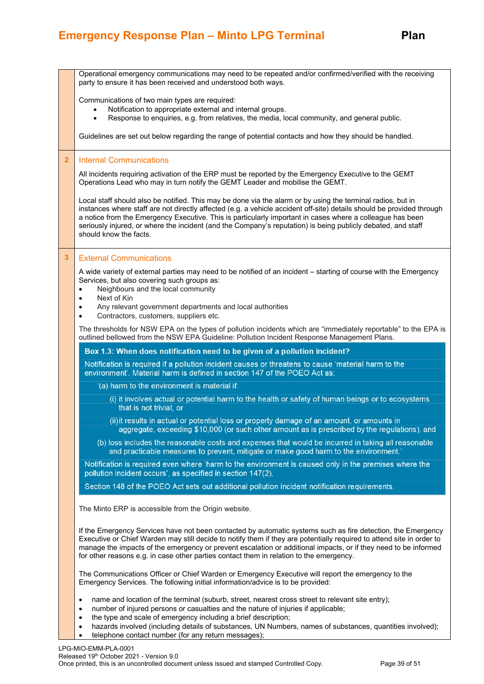# **Emergency Response Plan – Minto LPG Terminal Plan**

|                | Operational emergency communications may need to be repeated and/or confirmed/verified with the receiving<br>party to ensure it has been received and understood both ways.                                                                                                                                                                                                                                                                                                                 |
|----------------|---------------------------------------------------------------------------------------------------------------------------------------------------------------------------------------------------------------------------------------------------------------------------------------------------------------------------------------------------------------------------------------------------------------------------------------------------------------------------------------------|
|                | Communications of two main types are required:<br>Notification to appropriate external and internal groups.<br>Response to enquiries, e.g. from relatives, the media, local community, and general public.                                                                                                                                                                                                                                                                                  |
|                | Guidelines are set out below regarding the range of potential contacts and how they should be handled.                                                                                                                                                                                                                                                                                                                                                                                      |
| $\overline{2}$ | <b>Internal Communications</b>                                                                                                                                                                                                                                                                                                                                                                                                                                                              |
|                | All incidents requiring activation of the ERP must be reported by the Emergency Executive to the GEMT<br>Operations Lead who may in turn notify the GEMT Leader and mobilise the GEMT.                                                                                                                                                                                                                                                                                                      |
|                | Local staff should also be notified. This may be done via the alarm or by using the terminal radios, but in<br>instances where staff are not directly affected (e.g. a vehicle accident off-site) details should be provided through<br>a notice from the Emergency Executive. This is particularly important in cases where a colleague has been<br>seriously injured, or where the incident (and the Company's reputation) is being publicly debated, and staff<br>should know the facts. |
| 3              | <b>External Communications</b>                                                                                                                                                                                                                                                                                                                                                                                                                                                              |
|                | A wide variety of external parties may need to be notified of an incident – starting of course with the Emergency<br>Services, but also covering such groups as:<br>Neighbours and the local community<br>Next of Kin<br>٠                                                                                                                                                                                                                                                                  |
|                | Any relevant government departments and local authorities<br>$\bullet$<br>Contractors, customers, suppliers etc.<br>$\bullet$                                                                                                                                                                                                                                                                                                                                                               |
|                | The thresholds for NSW EPA on the types of pollution incidents which are "immediately reportable" to the EPA is<br>outlined bellowed from the NSW EPA Guideline: Pollution Incident Response Management Plans.                                                                                                                                                                                                                                                                              |
|                | Box 1.3: When does notification need to be given of a pollution incident?                                                                                                                                                                                                                                                                                                                                                                                                                   |
|                | Notification is required if a pollution incident causes or threatens to cause 'material harm to the<br>environment'. Material harm is defined in section 147 of the POEO Act as:                                                                                                                                                                                                                                                                                                            |
|                | '(a) harm to the environment is material if:                                                                                                                                                                                                                                                                                                                                                                                                                                                |
|                | (i) it involves actual or potential harm to the health or safety of human beings or to ecosystems<br>that is not trivial, or                                                                                                                                                                                                                                                                                                                                                                |
|                | (ii) it results in actual or potential loss or property damage of an amount, or amounts in<br>aggregate, exceeding \$10,000 (or such other amount as is prescribed by the regulations), and                                                                                                                                                                                                                                                                                                 |
|                | (b) loss includes the reasonable costs and expenses that would be incurred in taking all reasonable<br>and practicable measures to prevent, mitigate or make good harm to the environment.'                                                                                                                                                                                                                                                                                                 |
|                | Notification is required even where 'harm to the environment is caused only in the premises where the<br>pollution incident occurs', as specified in section 147(2).                                                                                                                                                                                                                                                                                                                        |
|                | Section 148 of the POEO Act sets out additional pollution incident notification requirements.                                                                                                                                                                                                                                                                                                                                                                                               |
|                | The Minto ERP is accessible from the Origin website.                                                                                                                                                                                                                                                                                                                                                                                                                                        |
|                | If the Emergency Services have not been contacted by automatic systems such as fire detection, the Emergency<br>Executive or Chief Warden may still decide to notify them if they are potentially required to attend site in order to<br>manage the impacts of the emergency or prevent escalation or additional impacts, or if they need to be informed<br>for other reasons e.g. in case other parties contact them in relation to the emergency.                                         |
|                | The Communications Officer or Chief Warden or Emergency Executive will report the emergency to the<br>Emergency Services. The following initial information/advice is to be provided:                                                                                                                                                                                                                                                                                                       |
|                | name and location of the terminal (suburb, street, nearest cross street to relevant site entry);<br>$\bullet$<br>number of injured persons or casualties and the nature of injuries if applicable;<br>$\bullet$<br>the type and scale of emergency including a brief description;<br>$\bullet$                                                                                                                                                                                              |
|                | hazards involved (including details of substances, UN Numbers, names of substances, quantities involved);<br>٠<br>telephone contact number (for any return messages);                                                                                                                                                                                                                                                                                                                       |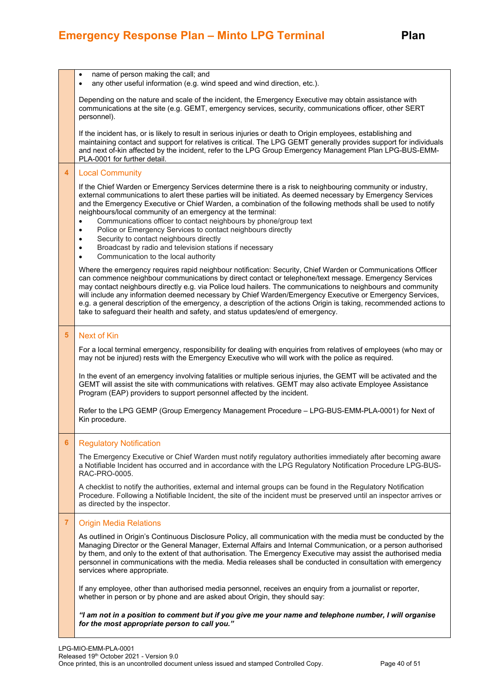|                | name of person making the call; and<br>$\bullet$<br>any other useful information (e.g. wind speed and wind direction, etc.).<br>$\bullet$                                                                                                                                                                                                                                                                                                                                                                                                                                                                                                                                                                                                                 |
|----------------|-----------------------------------------------------------------------------------------------------------------------------------------------------------------------------------------------------------------------------------------------------------------------------------------------------------------------------------------------------------------------------------------------------------------------------------------------------------------------------------------------------------------------------------------------------------------------------------------------------------------------------------------------------------------------------------------------------------------------------------------------------------|
|                | Depending on the nature and scale of the incident, the Emergency Executive may obtain assistance with<br>communications at the site (e.g. GEMT, emergency services, security, communications officer, other SERT<br>personnel).                                                                                                                                                                                                                                                                                                                                                                                                                                                                                                                           |
|                | If the incident has, or is likely to result in serious injuries or death to Origin employees, establishing and<br>maintaining contact and support for relatives is critical. The LPG GEMT generally provides support for individuals<br>and next of-kin affected by the incident, refer to the LPG Group Emergency Management Plan LPG-BUS-EMM-<br>PLA-0001 for further detail.                                                                                                                                                                                                                                                                                                                                                                           |
| 4              | <b>Local Community</b>                                                                                                                                                                                                                                                                                                                                                                                                                                                                                                                                                                                                                                                                                                                                    |
|                | If the Chief Warden or Emergency Services determine there is a risk to neighbouring community or industry,<br>external communications to alert these parties will be initiated. As deemed necessary by Emergency Services<br>and the Emergency Executive or Chief Warden, a combination of the following methods shall be used to notify<br>neighbours/local community of an emergency at the terminal:<br>Communications officer to contact neighbours by phone/group text<br>$\bullet$<br>Police or Emergency Services to contact neighbours directly<br>$\bullet$<br>Security to contact neighbours directly<br>$\bullet$<br>Broadcast by radio and television stations if necessary<br>$\bullet$<br>Communication to the local authority<br>$\bullet$ |
|                | Where the emergency requires rapid neighbour notification: Security, Chief Warden or Communications Officer<br>can commence neighbour communications by direct contact or telephone/text message. Emergency Services<br>may contact neighbours directly e.g. via Police loud hailers. The communications to neighbours and community<br>will include any information deemed necessary by Chief Warden/Emergency Executive or Emergency Services,<br>e.g. a general description of the emergency, a description of the actions Origin is taking, recommended actions to<br>take to safeguard their health and safety, and status updates/end of emergency.                                                                                                 |
| 5              | <b>Next of Kin</b>                                                                                                                                                                                                                                                                                                                                                                                                                                                                                                                                                                                                                                                                                                                                        |
|                | For a local terminal emergency, responsibility for dealing with enquiries from relatives of employees (who may or<br>may not be injured) rests with the Emergency Executive who will work with the police as required.                                                                                                                                                                                                                                                                                                                                                                                                                                                                                                                                    |
|                | In the event of an emergency involving fatalities or multiple serious injuries, the GEMT will be activated and the<br>GEMT will assist the site with communications with relatives. GEMT may also activate Employee Assistance<br>Program (EAP) providers to support personnel affected by the incident.                                                                                                                                                                                                                                                                                                                                                                                                                                                  |
|                | Refer to the LPG GEMP (Group Emergency Management Procedure - LPG-BUS-EMM-PLA-0001) for Next of<br>Kin procedure.                                                                                                                                                                                                                                                                                                                                                                                                                                                                                                                                                                                                                                         |
| 6              | <b>Regulatory Notification</b>                                                                                                                                                                                                                                                                                                                                                                                                                                                                                                                                                                                                                                                                                                                            |
|                | The Emergency Executive or Chief Warden must notify regulatory authorities immediately after becoming aware<br>a Notifiable Incident has occurred and in accordance with the LPG Regulatory Notification Procedure LPG-BUS-<br>RAC-PRO-0005.                                                                                                                                                                                                                                                                                                                                                                                                                                                                                                              |
|                | A checklist to notify the authorities, external and internal groups can be found in the Regulatory Notification<br>Procedure. Following a Notifiable Incident, the site of the incident must be preserved until an inspector arrives or<br>as directed by the inspector.                                                                                                                                                                                                                                                                                                                                                                                                                                                                                  |
| $\overline{7}$ | <b>Origin Media Relations</b>                                                                                                                                                                                                                                                                                                                                                                                                                                                                                                                                                                                                                                                                                                                             |
|                | As outlined in Origin's Continuous Disclosure Policy, all communication with the media must be conducted by the<br>Managing Director or the General Manager, External Affairs and Internal Communication, or a person authorised<br>by them, and only to the extent of that authorisation. The Emergency Executive may assist the authorised media<br>personnel in communications with the media. Media releases shall be conducted in consultation with emergency<br>services where appropriate.                                                                                                                                                                                                                                                         |
|                | If any employee, other than authorised media personnel, receives an enquiry from a journalist or reporter,<br>whether in person or by phone and are asked about Origin, they should say:                                                                                                                                                                                                                                                                                                                                                                                                                                                                                                                                                                  |
|                | "I am not in a position to comment but if you give me your name and telephone number, I will organise<br>for the most appropriate person to call you."                                                                                                                                                                                                                                                                                                                                                                                                                                                                                                                                                                                                    |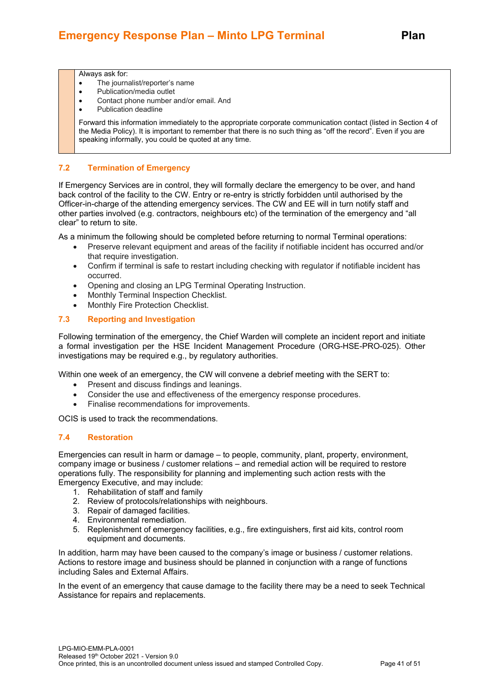#### Always ask for:

- The journalist/reporter's name
- Publication/media outlet
- Contact phone number and/or email. And
- Publication deadline

Forward this information immediately to the appropriate corporate communication contact (listed in Section 4 of the Media Policy). It is important to remember that there is no such thing as "off the record". Even if you are speaking informally, you could be quoted at any time.

### **7.2 Termination of Emergency**

If Emergency Services are in control, they will formally declare the emergency to be over, and hand back control of the facility to the CW. Entry or re-entry is strictly forbidden until authorised by the Officer-in-charge of the attending emergency services. The CW and EE will in turn notify staff and other parties involved (e.g. contractors, neighbours etc) of the termination of the emergency and "all clear" to return to site.

As a minimum the following should be completed before returning to normal Terminal operations:

- Preserve relevant equipment and areas of the facility if notifiable incident has occurred and/or that require investigation.
- Confirm if terminal is safe to restart including checking with regulator if notifiable incident has occurred.
- Opening and closing an LPG Terminal Operating Instruction.
- Monthly Terminal Inspection Checklist.
- Monthly Fire Protection Checklist.

#### **7.3 Reporting and Investigation**

Following termination of the emergency, the Chief Warden will complete an incident report and initiate a formal investigation per the HSE Incident Management Procedure (ORG-HSE-PRO-025). Other investigations may be required e.g., by regulatory authorities.

Within one week of an emergency, the CW will convene a debrief meeting with the SERT to:

- Present and discuss findings and leanings.
- Consider the use and effectiveness of the emergency response procedures.
- Finalise recommendations for improvements.

OCIS is used to track the recommendations.

#### **7.4 Restoration**

Emergencies can result in harm or damage – to people, community, plant, property, environment, company image or business / customer relations – and remedial action will be required to restore operations fully. The responsibility for planning and implementing such action rests with the Emergency Executive, and may include:

- 1. Rehabilitation of staff and family
- 2. Review of protocols/relationships with neighbours.
- 3. Repair of damaged facilities.
- 4. Environmental remediation.
- 5. Replenishment of emergency facilities, e.g., fire extinguishers, first aid kits, control room equipment and documents.

In addition, harm may have been caused to the company's image or business / customer relations. Actions to restore image and business should be planned in conjunction with a range of functions including Sales and External Affairs.

In the event of an emergency that cause damage to the facility there may be a need to seek Technical Assistance for repairs and replacements.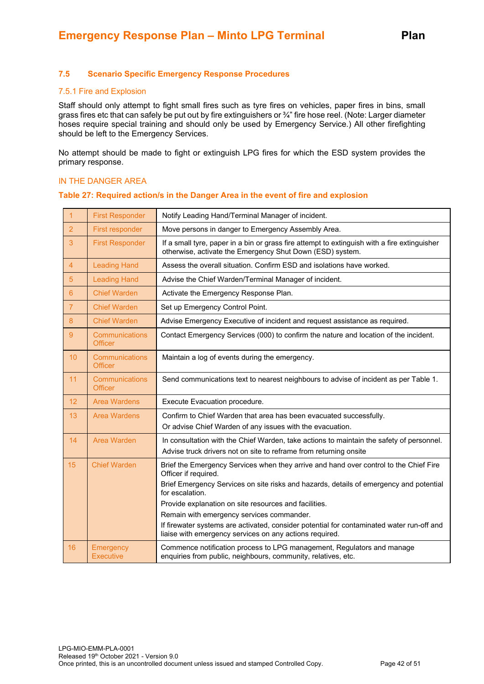#### **7.5 Scenario Specific Emergency Response Procedures**

#### 7.5.1 Fire and Explosion

Staff should only attempt to fight small fires such as tyre fires on vehicles, paper fires in bins, small grass fires etc that can safely be put out by fire extinguishers or ¾" fire hose reel. (Note: Larger diameter hoses require special training and should only be used by Emergency Service.) All other firefighting should be left to the Emergency Services.

No attempt should be made to fight or extinguish LPG fires for which the ESD system provides the primary response.

#### IN THE DANGER AREA

#### **Table 27: Required action/s in the Danger Area in the event of fire and explosion**

| $\overline{1}$ | <b>First Responder</b>                  | Notify Leading Hand/Terminal Manager of incident.                                                                                                             |
|----------------|-----------------------------------------|---------------------------------------------------------------------------------------------------------------------------------------------------------------|
| $\overline{2}$ | First responder                         | Move persons in danger to Emergency Assembly Area.                                                                                                            |
| 3              | <b>First Responder</b>                  | If a small tyre, paper in a bin or grass fire attempt to extinguish with a fire extinguisher<br>otherwise, activate the Emergency Shut Down (ESD) system.     |
| $\overline{4}$ | <b>Leading Hand</b>                     | Assess the overall situation. Confirm ESD and isolations have worked.                                                                                         |
| 5              | <b>Leading Hand</b>                     | Advise the Chief Warden/Terminal Manager of incident.                                                                                                         |
| $6\phantom{1}$ | <b>Chief Warden</b>                     | Activate the Emergency Response Plan.                                                                                                                         |
| $\overline{7}$ | <b>Chief Warden</b>                     | Set up Emergency Control Point.                                                                                                                               |
| 8              | <b>Chief Warden</b>                     | Advise Emergency Executive of incident and request assistance as required.                                                                                    |
| 9              | <b>Communications</b><br><b>Officer</b> | Contact Emergency Services (000) to confirm the nature and location of the incident.                                                                          |
| 10             | Communications<br><b>Officer</b>        | Maintain a log of events during the emergency.                                                                                                                |
| 11             | Communications<br><b>Officer</b>        | Send communications text to nearest neighbours to advise of incident as per Table 1.                                                                          |
| 12             | <b>Area Wardens</b>                     | Execute Evacuation procedure.                                                                                                                                 |
| 13             | <b>Area Wardens</b>                     | Confirm to Chief Warden that area has been evacuated successfully.<br>Or advise Chief Warden of any issues with the evacuation.                               |
| 14             | Area Warden                             | In consultation with the Chief Warden, take actions to maintain the safety of personnel.<br>Advise truck drivers not on site to reframe from returning onsite |
| 15             | <b>Chief Warden</b>                     | Brief the Emergency Services when they arrive and hand over control to the Chief Fire<br>Officer if required.                                                 |
|                |                                         | Brief Emergency Services on site risks and hazards, details of emergency and potential<br>for escalation.                                                     |
|                |                                         | Provide explanation on site resources and facilities.                                                                                                         |
|                |                                         | Remain with emergency services commander.                                                                                                                     |
|                |                                         | If firewater systems are activated, consider potential for contaminated water run-off and<br>liaise with emergency services on any actions required.          |
| 16             | Emergency<br><b>Executive</b>           | Commence notification process to LPG management, Regulators and manage<br>enquiries from public, neighbours, community, relatives, etc.                       |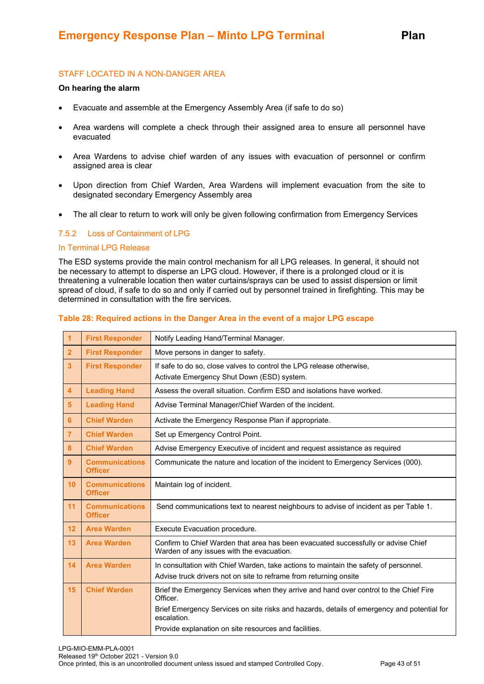#### STAFF LOCATED IN A NON-DANGER AREA

#### **On hearing the alarm**

- Evacuate and assemble at the Emergency Assembly Area (if safe to do so)
- Area wardens will complete a check through their assigned area to ensure all personnel have evacuated
- Area Wardens to advise chief warden of any issues with evacuation of personnel or confirm assigned area is clear
- Upon direction from Chief Warden, Area Wardens will implement evacuation from the site to designated secondary Emergency Assembly area
- The all clear to return to work will only be given following confirmation from Emergency Services

#### 7.5.2 Loss of Containment of LPG

#### In Terminal LPG Release

The ESD systems provide the main control mechanism for all LPG releases. In general, it should not be necessary to attempt to disperse an LPG cloud. However, if there is a prolonged cloud or it is threatening a vulnerable location then water curtains/sprays can be used to assist dispersion or limit spread of cloud, if safe to do so and only if carried out by personnel trained in firefighting. This may be determined in consultation with the fire services.

|  |  | Table 28: Required actions in the Danger Area in the event of a major LPG escape |
|--|--|----------------------------------------------------------------------------------|
|--|--|----------------------------------------------------------------------------------|

| 1              | <b>First Responder</b>                  | Notify Leading Hand/Terminal Manager.                                                                                                                     |
|----------------|-----------------------------------------|-----------------------------------------------------------------------------------------------------------------------------------------------------------|
| $\overline{2}$ | <b>First Responder</b>                  | Move persons in danger to safety.                                                                                                                         |
| $\overline{3}$ | <b>First Responder</b>                  | If safe to do so, close valves to control the LPG release otherwise,<br>Activate Emergency Shut Down (ESD) system.                                        |
| $\overline{4}$ | <b>Leading Hand</b>                     | Assess the overall situation. Confirm ESD and isolations have worked.                                                                                     |
| 5              | <b>Leading Hand</b>                     | Advise Terminal Manager/Chief Warden of the incident.                                                                                                     |
| 6              | <b>Chief Warden</b>                     | Activate the Emergency Response Plan if appropriate.                                                                                                      |
| $\overline{7}$ | <b>Chief Warden</b>                     | Set up Emergency Control Point.                                                                                                                           |
| 8              | <b>Chief Warden</b>                     | Advise Emergency Executive of incident and request assistance as required                                                                                 |
| 9              | <b>Communications</b><br><b>Officer</b> | Communicate the nature and location of the incident to Emergency Services (000).                                                                          |
| 10             | <b>Communications</b><br><b>Officer</b> | Maintain log of incident.                                                                                                                                 |
| 11             | <b>Communications</b><br><b>Officer</b> | Send communications text to nearest neighbours to advise of incident as per Table 1.                                                                      |
| 12             | <b>Area Warden</b>                      | Execute Evacuation procedure.                                                                                                                             |
| 13             | <b>Area Warden</b>                      | Confirm to Chief Warden that area has been evacuated successfully or advise Chief<br>Warden of any issues with the evacuation.                            |
| 14             | <b>Area Warden</b>                      | In consultation with Chief Warden, take actions to maintain the safety of personnel.<br>Advise truck drivers not on site to reframe from returning onsite |
| 15             | <b>Chief Warden</b>                     | Brief the Emergency Services when they arrive and hand over control to the Chief Fire<br>Officer.                                                         |
|                |                                         | Brief Emergency Services on site risks and hazards, details of emergency and potential for<br>escalation.                                                 |
|                |                                         | Provide explanation on site resources and facilities.                                                                                                     |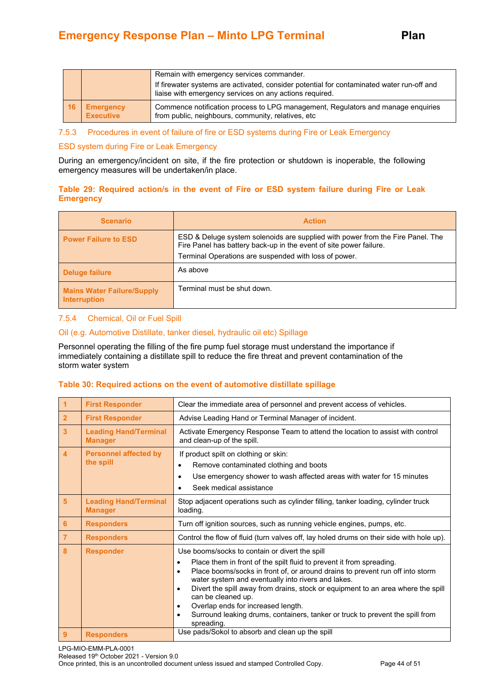|    |                                      | Remain with emergency services commander.<br>If firewater systems are activated, consider potential for contaminated water run-off and<br>liaise with emergency services on any actions required. |
|----|--------------------------------------|---------------------------------------------------------------------------------------------------------------------------------------------------------------------------------------------------|
| 16 | <b>Emergency</b><br><b>Executive</b> | Commence notification process to LPG management, Regulators and manage enquiries<br>from public, neighbours, community, relatives, etc                                                            |

#### 7.5.3 Procedures in event of failure of fire or ESD systems during Fire or Leak Emergency

#### ESD system during Fire or Leak Emergency

During an emergency/incident on site, if the fire protection or shutdown is inoperable, the following emergency measures will be undertaken/in place.

#### **Table 29: Required action/s in the event of Fire or ESD system failure during Fire or Leak Emergency**

| <b>Scenario</b>                                          | <b>Action</b>                                                                                                                                                                                                 |
|----------------------------------------------------------|---------------------------------------------------------------------------------------------------------------------------------------------------------------------------------------------------------------|
| <b>Power Failure to ESD</b>                              | ESD & Deluge system solenoids are supplied with power from the Fire Panel. The<br>Fire Panel has battery back-up in the event of site power failure.<br>Terminal Operations are suspended with loss of power. |
| Deluge failure                                           | As above                                                                                                                                                                                                      |
| <b>Mains Water Failure/Supply</b><br><b>Interruption</b> | Terminal must be shut down.                                                                                                                                                                                   |

#### 7.5.4 Chemical, Oil or Fuel Spill

#### Oil (e.g. Automotive Distillate, tanker diesel, hydraulic oil etc) Spillage

Personnel operating the filling of the fire pump fuel storage must understand the importance if immediately containing a distillate spill to reduce the fire threat and prevent contamination of the storm water system

#### **Table 30: Required actions on the event of automotive distillate spillage**

| $\blacktriangleleft$    | <b>First Responder</b>                         | Clear the immediate area of personnel and prevent access of vehicles.                                                                                                                                                                                                                                                                                                                                                                                                                                                                                            |  |
|-------------------------|------------------------------------------------|------------------------------------------------------------------------------------------------------------------------------------------------------------------------------------------------------------------------------------------------------------------------------------------------------------------------------------------------------------------------------------------------------------------------------------------------------------------------------------------------------------------------------------------------------------------|--|
| $\overline{2}$          | <b>First Responder</b>                         | Advise Leading Hand or Terminal Manager of incident.                                                                                                                                                                                                                                                                                                                                                                                                                                                                                                             |  |
| $\overline{3}$          | <b>Leading Hand/Terminal</b><br><b>Manager</b> | Activate Emergency Response Team to attend the location to assist with control<br>and clean-up of the spill.                                                                                                                                                                                                                                                                                                                                                                                                                                                     |  |
| $\overline{\mathbf{4}}$ | <b>Personnel affected by</b><br>the spill      | If product spilt on clothing or skin:<br>Remove contaminated clothing and boots<br>$\bullet$<br>Use emergency shower to wash affected areas with water for 15 minutes<br>٠<br>Seek medical assistance                                                                                                                                                                                                                                                                                                                                                            |  |
| $5\phantom{1}$          | <b>Leading Hand/Terminal</b><br><b>Manager</b> | Stop adjacent operations such as cylinder filling, tanker loading, cylinder truck<br>loading.                                                                                                                                                                                                                                                                                                                                                                                                                                                                    |  |
| $6\phantom{1}6$         | <b>Responders</b>                              | Turn off ignition sources, such as running vehicle engines, pumps, etc.                                                                                                                                                                                                                                                                                                                                                                                                                                                                                          |  |
| $\overline{7}$          | <b>Responders</b>                              | Control the flow of fluid (turn valves off, lay holed drums on their side with hole up).                                                                                                                                                                                                                                                                                                                                                                                                                                                                         |  |
| 8                       | <b>Responder</b>                               | Use booms/socks to contain or divert the spill<br>Place them in front of the spilt fluid to prevent it from spreading.<br>Place booms/socks in front of, or around drains to prevent run off into storm<br>$\bullet$<br>water system and eventually into rivers and lakes.<br>Divert the spill away from drains, stock or equipment to an area where the spill<br>$\bullet$<br>can be cleaned up.<br>Overlap ends for increased length.<br>$\bullet$<br>Surround leaking drums, containers, tanker or truck to prevent the spill from<br>$\bullet$<br>spreading. |  |
| 9                       | <b>Responders</b>                              | Use pads/Sokol to absorb and clean up the spill                                                                                                                                                                                                                                                                                                                                                                                                                                                                                                                  |  |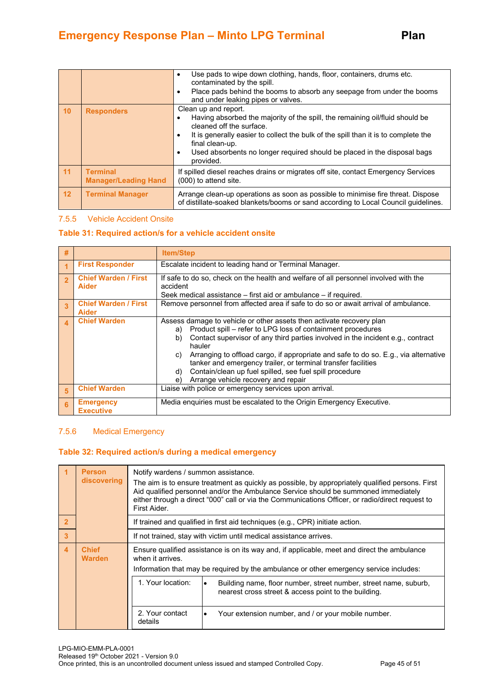|    |                                                | Use pads to wipe down clothing, hands, floor, containers, drums etc.<br>contaminated by the spill.<br>Place pads behind the booms to absorb any seepage from under the booms<br>and under leaking pipes or valves.                                                                                                                 |
|----|------------------------------------------------|------------------------------------------------------------------------------------------------------------------------------------------------------------------------------------------------------------------------------------------------------------------------------------------------------------------------------------|
| 10 | <b>Responders</b>                              | Clean up and report.<br>Having absorbed the majority of the spill, the remaining oil/fluid should be<br>cleaned off the surface.<br>It is generally easier to collect the bulk of the spill than it is to complete the<br>final clean-up.<br>Used absorbents no longer required should be placed in the disposal bags<br>provided. |
| 11 | <b>Terminal</b><br><b>Manager/Leading Hand</b> | If spilled diesel reaches drains or migrates off site, contact Emergency Services<br>(000) to attend site.                                                                                                                                                                                                                         |
| 12 | <b>Terminal Manager</b>                        | Arrange clean-up operations as soon as possible to minimise fire threat. Dispose<br>of distillate-soaked blankets/booms or sand according to Local Council guidelines.                                                                                                                                                             |

#### 7.5.5 Vehicle Accident Onsite

#### **Table 31: Required action/s for a vehicle accident onsite**

| #                       |                                             | <b>Item/Step</b>                                                                                                                                                                                                                                                                                                                                                                                                                                                                                                         |  |
|-------------------------|---------------------------------------------|--------------------------------------------------------------------------------------------------------------------------------------------------------------------------------------------------------------------------------------------------------------------------------------------------------------------------------------------------------------------------------------------------------------------------------------------------------------------------------------------------------------------------|--|
|                         | <b>First Responder</b>                      | Escalate incident to leading hand or Terminal Manager.                                                                                                                                                                                                                                                                                                                                                                                                                                                                   |  |
| $\overline{2}$          | <b>Chief Warden / First</b><br><b>Aider</b> | If safe to do so, check on the health and welfare of all personnel involved with the<br>accident<br>Seek medical assistance – first aid or ambulance – if required.                                                                                                                                                                                                                                                                                                                                                      |  |
| $\overline{\mathbf{3}}$ | <b>Chief Warden / First</b><br><b>Aider</b> | Remove personnel from affected area if safe to do so or await arrival of ambulance.                                                                                                                                                                                                                                                                                                                                                                                                                                      |  |
| $\boldsymbol{\Lambda}$  | <b>Chief Warden</b>                         | Assess damage to vehicle or other assets then activate recovery plan<br>Product spill – refer to LPG loss of containment procedures<br>a)<br>Contact supervisor of any third parties involved in the incident e.g., contract<br>b)<br>hauler<br>Arranging to offload cargo, if appropriate and safe to do so. E.g., via alternative<br>C)<br>tanker and emergency trailer, or terminal transfer facilities<br>Contain/clean up fuel spilled, see fuel spill procedure<br>d)<br>Arrange vehicle recovery and repair<br>e) |  |
| 5                       | <b>Chief Warden</b>                         | Liaise with police or emergency services upon arrival.                                                                                                                                                                                                                                                                                                                                                                                                                                                                   |  |
| 6                       | <b>Emergency</b><br><b>Executive</b>        | Media enquiries must be escalated to the Origin Emergency Executive.                                                                                                                                                                                                                                                                                                                                                                                                                                                     |  |

#### 7.5.6 Medical Emergency

#### **Table 32: Required action/s during a medical emergency**

|                | <b>Person</b><br>discovering  | Notify wardens / summon assistance.<br>The aim is to ensure treatment as quickly as possible, by appropriately qualified persons. First<br>Aid qualified personnel and/or the Ambulance Service should be summoned immediately<br>either through a direct "000" call or via the Communications Officer, or radio/direct request to<br>First Aider. |  |
|----------------|-------------------------------|----------------------------------------------------------------------------------------------------------------------------------------------------------------------------------------------------------------------------------------------------------------------------------------------------------------------------------------------------|--|
| $\overline{2}$ |                               | If trained and qualified in first aid techniques (e.g., CPR) initiate action.                                                                                                                                                                                                                                                                      |  |
| 3              |                               | If not trained, stay with victim until medical assistance arrives.                                                                                                                                                                                                                                                                                 |  |
| $\overline{4}$ | <b>Chief</b><br><b>Warden</b> | Ensure qualified assistance is on its way and, if applicable, meet and direct the ambulance<br>when it arrives.<br>Information that may be required by the ambulance or other emergency service includes:                                                                                                                                          |  |
|                |                               | 1. Your location:<br>Building name, floor number, street number, street name, suburb,<br>nearest cross street & access point to the building.                                                                                                                                                                                                      |  |
|                |                               | 2. Your contact<br>Your extension number, and / or your mobile number.<br>٠<br>details                                                                                                                                                                                                                                                             |  |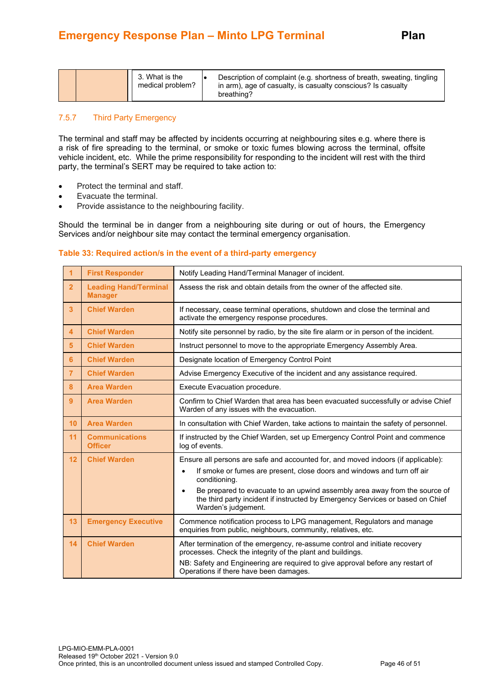|  |  | 3. What is the<br>medical problem? | Description of complaint (e.g. shortness of breath, sweating, tingling<br>in arm), age of casualty, is casualty conscious? Is casualty<br>breathing? |
|--|--|------------------------------------|------------------------------------------------------------------------------------------------------------------------------------------------------|
|--|--|------------------------------------|------------------------------------------------------------------------------------------------------------------------------------------------------|

#### 7.5.7 Third Party Emergency

The terminal and staff may be affected by incidents occurring at neighbouring sites e.g. where there is a risk of fire spreading to the terminal, or smoke or toxic fumes blowing across the terminal, offsite vehicle incident, etc. While the prime responsibility for responding to the incident will rest with the third party, the terminal's SERT may be required to take action to:

- Protect the terminal and staff.
- Evacuate the terminal.
- Provide assistance to the neighbouring facility.

Should the terminal be in danger from a neighbouring site during or out of hours, the Emergency Services and/or neighbour site may contact the terminal emergency organisation.

#### **Table 33: Required action/s in the event of a third-party emergency**

| 1                       | <b>First Responder</b>                         | Notify Leading Hand/Terminal Manager of incident.                                                                                                                                                                                                                                                                                                                                 |
|-------------------------|------------------------------------------------|-----------------------------------------------------------------------------------------------------------------------------------------------------------------------------------------------------------------------------------------------------------------------------------------------------------------------------------------------------------------------------------|
| $\overline{2}$          | <b>Leading Hand/Terminal</b><br><b>Manager</b> | Assess the risk and obtain details from the owner of the affected site.                                                                                                                                                                                                                                                                                                           |
| 3 <sup>2</sup>          | <b>Chief Warden</b>                            | If necessary, cease terminal operations, shutdown and close the terminal and<br>activate the emergency response procedures.                                                                                                                                                                                                                                                       |
| $\overline{\mathbf{4}}$ | <b>Chief Warden</b>                            | Notify site personnel by radio, by the site fire alarm or in person of the incident.                                                                                                                                                                                                                                                                                              |
| 5 <sup>5</sup>          | <b>Chief Warden</b>                            | Instruct personnel to move to the appropriate Emergency Assembly Area.                                                                                                                                                                                                                                                                                                            |
| 6                       | <b>Chief Warden</b>                            | Designate location of Emergency Control Point                                                                                                                                                                                                                                                                                                                                     |
| $\overline{7}$          | <b>Chief Warden</b>                            | Advise Emergency Executive of the incident and any assistance required.                                                                                                                                                                                                                                                                                                           |
| 8                       | <b>Area Warden</b>                             | Execute Evacuation procedure.                                                                                                                                                                                                                                                                                                                                                     |
| 9                       | <b>Area Warden</b>                             | Confirm to Chief Warden that area has been evacuated successfully or advise Chief<br>Warden of any issues with the evacuation.                                                                                                                                                                                                                                                    |
| 10                      | <b>Area Warden</b>                             | In consultation with Chief Warden, take actions to maintain the safety of personnel.                                                                                                                                                                                                                                                                                              |
| 11                      | <b>Communications</b><br><b>Officer</b>        | If instructed by the Chief Warden, set up Emergency Control Point and commence<br>log of events.                                                                                                                                                                                                                                                                                  |
| 12                      | <b>Chief Warden</b>                            | Ensure all persons are safe and accounted for, and moved indoors (if applicable):<br>If smoke or fumes are present, close doors and windows and turn off air<br>conditioning.<br>Be prepared to evacuate to an upwind assembly area away from the source of<br>$\bullet$<br>the third party incident if instructed by Emergency Services or based on Chief<br>Warden's judgement. |
| 13                      | <b>Emergency Executive</b>                     | Commence notification process to LPG management, Regulators and manage<br>enquiries from public, neighbours, community, relatives, etc.                                                                                                                                                                                                                                           |
| 14                      | <b>Chief Warden</b>                            | After termination of the emergency, re-assume control and initiate recovery<br>processes. Check the integrity of the plant and buildings.<br>NB: Safety and Engineering are required to give approval before any restart of<br>Operations if there have been damages.                                                                                                             |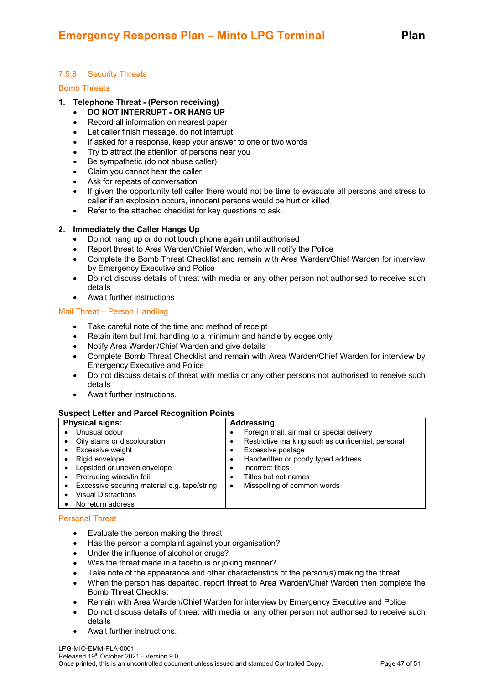## 7.5.8 Security Threats

#### Bomb Threats

#### **1. Telephone Threat - (Person receiving)**

- **DO NOT INTERRUPT - OR HANG UP**
- Record all information on nearest paper
- Let caller finish message, do not interrupt
- If asked for a response, keep your answer to one or two words
- Try to attract the attention of persons near you
- Be sympathetic (do not abuse caller)
- Claim you cannot hear the caller
- Ask for repeats of conversation
- If given the opportunity tell caller there would not be time to evacuate all persons and stress to caller if an explosion occurs, innocent persons would be hurt or killed
- Refer to the attached checklist for key questions to ask.

#### **2. Immediately the Caller Hangs Up**

- Do not hang up or do not touch phone again until authorised
- Report threat to Area Warden/Chief Warden, who will notify the Police
- Complete the Bomb Threat Checklist and remain with Area Warden/Chief Warden for interview by Emergency Executive and Police
- Do not discuss details of threat with media or any other person not authorised to receive such details
- Await further instructions

#### Mail Threat – Person Handling

- Take careful note of the time and method of receipt
- Retain item but limit handling to a minimum and handle by edges only
- Notify Area Warden/Chief Warden and give details
- Complete Bomb Threat Checklist and remain with Area Warden/Chief Warden for interview by Emergency Executive and Police
- Do not discuss details of threat with media or any other persons not authorised to receive such details
- Await further instructions.

#### **Suspect Letter and Parcel Recognition Points**

| <b>Physical signs:</b>                       | Addressing                                         |  |
|----------------------------------------------|----------------------------------------------------|--|
| Unusual odour                                | Foreign mail, air mail or special delivery         |  |
| Oily stains or discolouration                | Restrictive marking such as confidential, personal |  |
| Excessive weight<br>$\bullet$                | Excessive postage                                  |  |
| Rigid envelope<br>٠                          | Handwritten or poorly typed address                |  |
| Lopsided or uneven envelope<br>$\bullet$     | Incorrect titles                                   |  |
| Protruding wires/tin foil<br>$\bullet$       | Titles but not names                               |  |
| Excessive securing material e.g. tape/string | Misspelling of common words<br>٠                   |  |
| <b>Visual Distractions</b>                   |                                                    |  |
| No return address<br>٠                       |                                                    |  |

#### Personal Threat

- Evaluate the person making the threat
- Has the person a complaint against your organisation?
- Under the influence of alcohol or drugs?
- Was the threat made in a facetious or joking manner?
- Take note of the appearance and other characteristics of the person(s) making the threat
- When the person has departed, report threat to Area Warden/Chief Warden then complete the Bomb Threat Checklist
- Remain with Area Warden/Chief Warden for interview by Emergency Executive and Police
- Do not discuss details of threat with media or any other person not authorised to receive such details
- Await further instructions.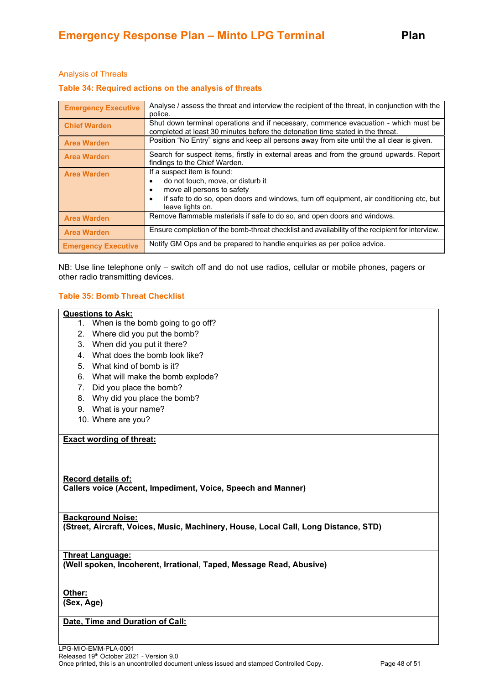#### Analysis of Threats

#### **Table 34: Required actions on the analysis of threats**

| <b>Emergency Executive</b> | Analyse / assess the threat and interview the recipient of the threat, in conjunction with the<br>police.                                                                                                          |
|----------------------------|--------------------------------------------------------------------------------------------------------------------------------------------------------------------------------------------------------------------|
| <b>Chief Warden</b>        | Shut down terminal operations and if necessary, commence evacuation - which must be<br>completed at least 30 minutes before the detonation time stated in the threat.                                              |
| <b>Area Warden</b>         | Position "No Entry" signs and keep all persons away from site until the all clear is given.                                                                                                                        |
| <b>Area Warden</b>         | Search for suspect items, firstly in external areas and from the ground upwards. Report<br>findings to the Chief Warden.                                                                                           |
| <b>Area Warden</b>         | If a suspect item is found:<br>do not touch, move, or disturb it<br>move all persons to safety<br>if safe to do so, open doors and windows, turn off equipment, air conditioning etc, but<br>٠<br>leave lights on. |
| <b>Area Warden</b>         | Remove flammable materials if safe to do so, and open doors and windows.                                                                                                                                           |
| <b>Area Warden</b>         | Ensure completion of the bomb-threat checklist and availability of the recipient for interview.                                                                                                                    |
| <b>Emergency Executive</b> | Notify GM Ops and be prepared to handle enquiries as per police advice.                                                                                                                                            |

NB: Use line telephone only – switch off and do not use radios, cellular or mobile phones, pagers or other radio transmitting devices.

#### **Table 35: Bomb Threat Checklist**

#### **Questions to Ask:**

- 1. When is the bomb going to go off?
- 2. Where did you put the bomb?
- 3. When did you put it there?
- 4. What does the bomb look like?
- 5. What kind of bomb is it?
- 6. What will make the bomb explode?
- 7. Did you place the bomb?
- 8. Why did you place the bomb?
- 9. What is your name?
- 10. Where are you?

#### **Exact wording of threat:**

#### **Record details of:**

**Callers voice (Accent, Impediment, Voice, Speech and Manner)**

#### **Background Noise:**

**(Street, Aircraft, Voices, Music, Machinery, House, Local Call, Long Distance, STD)**

#### **Threat Language:**

**(Well spoken, Incoherent, Irrational, Taped, Message Read, Abusive)**

# **Other:**

**(Sex, Age)**

# **Date, Time and Duration of Call:**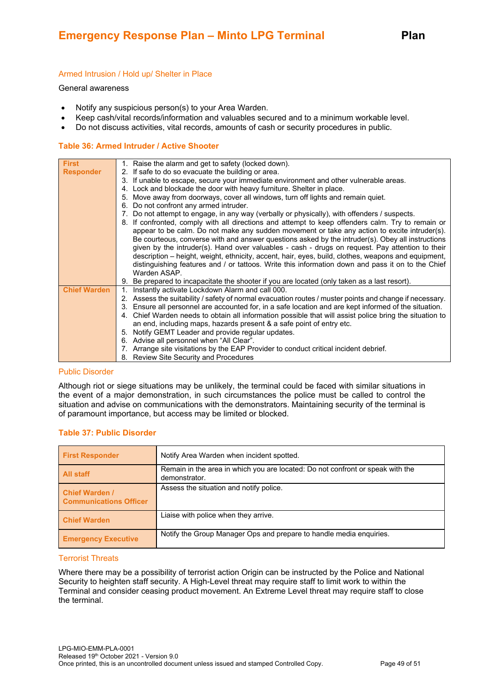#### Armed Intrusion / Hold up/ Shelter in Place

#### General awareness

- Notify any suspicious person(s) to your Area Warden.
- Keep cash/vital records/information and valuables secured and to a minimum workable level.
- Do not discuss activities, vital records, amounts of cash or security procedures in public.

#### **Table 36: Armed Intruder / Active Shooter**

| <b>First</b>        | 1. Raise the alarm and get to safety (locked down).                                                     |  |
|---------------------|---------------------------------------------------------------------------------------------------------|--|
| <b>Responder</b>    | 2. If safe to do so evacuate the building or area.                                                      |  |
|                     | 3. If unable to escape, secure your immediate environment and other vulnerable areas.                   |  |
|                     | 4. Lock and blockade the door with heavy furniture. Shelter in place.                                   |  |
|                     | 5. Move away from doorways, cover all windows, turn off lights and remain quiet.                        |  |
|                     | Do not confront any armed intruder.<br>6.                                                               |  |
|                     | 7. Do not attempt to engage, in any way (verbally or physically), with offenders / suspects.            |  |
|                     | 8. If confronted, comply with all directions and attempt to keep offenders calm. Try to remain or       |  |
|                     | appear to be calm. Do not make any sudden movement or take any action to excite intruder(s).            |  |
|                     | Be courteous, converse with and answer questions asked by the intruder(s). Obey all instructions        |  |
|                     | given by the intruder(s). Hand over valuables - cash - drugs on request. Pay attention to their         |  |
|                     | description – height, weight, ethnicity, accent, hair, eyes, build, clothes, weapons and equipment,     |  |
|                     | distinguishing features and / or tattoos. Write this information down and pass it on to the Chief       |  |
|                     | Warden ASAP.                                                                                            |  |
|                     | 9. Be prepared to incapacitate the shooter if you are located (only taken as a last resort).            |  |
| <b>Chief Warden</b> | Instantly activate Lockdown Alarm and call 000.                                                         |  |
|                     | 2. Assess the suitability / safety of normal evacuation routes / muster points and change if necessary. |  |
|                     | 3. Ensure all personnel are accounted for, in a safe location and are kept informed of the situation.   |  |
|                     | 4. Chief Warden needs to obtain all information possible that will assist police bring the situation to |  |
|                     | an end, including maps, hazards present & a safe point of entry etc.                                    |  |
|                     | 5. Notify GEMT Leader and provide regular updates.                                                      |  |
|                     | 6. Advise all personnel when "All Clear".                                                               |  |
|                     | 7. Arrange site visitations by the EAP Provider to conduct critical incident debrief.                   |  |
|                     | 8. Review Site Security and Procedures                                                                  |  |

#### Public Disorder

Although riot or siege situations may be unlikely, the terminal could be faced with similar situations in the event of a major demonstration, in such circumstances the police must be called to control the situation and advise on communications with the demonstrators. Maintaining security of the terminal is of paramount importance, but access may be limited or blocked.

| <b>First Responder</b>                                 | Notify Area Warden when incident spotted.                                                       |
|--------------------------------------------------------|-------------------------------------------------------------------------------------------------|
| All staff                                              | Remain in the area in which you are located: Do not confront or speak with the<br>demonstrator. |
| <b>Chief Warden /</b><br><b>Communications Officer</b> | Assess the situation and notify police.                                                         |
| <b>Chief Warden</b>                                    | Liaise with police when they arrive.                                                            |
| <b>Emergency Executive</b>                             | Notify the Group Manager Ops and prepare to handle media enquiries.                             |

#### **Table 37: Public Disorder**

#### Terrorist Threats

Where there may be a possibility of terrorist action Origin can be instructed by the Police and National Security to heighten staff security. A High-Level threat may require staff to limit work to within the Terminal and consider ceasing product movement. An Extreme Level threat may require staff to close the terminal.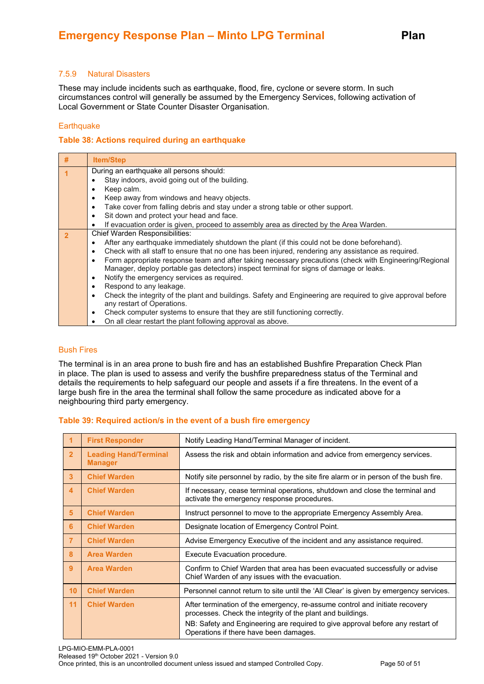#### 7.5.9 Natural Disasters

These may include incidents such as earthquake, flood, fire, cyclone or severe storm. In such circumstances control will generally be assumed by the Emergency Services, following activation of Local Government or State Counter Disaster Organisation.

#### **Earthquake**

#### **Table 38: Actions required during an earthquake**

| # | <b>Item/Step</b>                                                                                                                                                                                              |
|---|---------------------------------------------------------------------------------------------------------------------------------------------------------------------------------------------------------------|
|   | During an earthquake all persons should:                                                                                                                                                                      |
|   | Stay indoors, avoid going out of the building.                                                                                                                                                                |
|   | Keep calm.<br>٠                                                                                                                                                                                               |
|   | Keep away from windows and heavy objects.<br>$\bullet$                                                                                                                                                        |
|   | Take cover from falling debris and stay under a strong table or other support.<br>$\bullet$                                                                                                                   |
|   | Sit down and protect your head and face.<br>$\bullet$                                                                                                                                                         |
|   | If evacuation order is given, proceed to assembly area as directed by the Area Warden.<br>$\bullet$                                                                                                           |
|   | Chief Warden Responsibilities:                                                                                                                                                                                |
|   | After any earthquake immediately shutdown the plant (if this could not be done beforehand).<br>٠                                                                                                              |
|   | Check with all staff to ensure that no one has been injured, rendering any assistance as required.<br>٠                                                                                                       |
|   | Form appropriate response team and after taking necessary precautions (check with Engineering/Regional<br>$\bullet$<br>Manager, deploy portable gas detectors) inspect terminal for signs of damage or leaks. |
|   | Notify the emergency services as required.<br>$\bullet$                                                                                                                                                       |
|   | Respond to any leakage.<br>$\bullet$                                                                                                                                                                          |
|   | Check the integrity of the plant and buildings. Safety and Engineering are required to give approval before<br>$\bullet$                                                                                      |
|   | any restart of Operations.                                                                                                                                                                                    |
|   | Check computer systems to ensure that they are still functioning correctly.<br>٠                                                                                                                              |
|   | On all clear restart the plant following approval as above.                                                                                                                                                   |

#### Bush Fires

The terminal is in an area prone to bush fire and has an established Bushfire Preparation Check Plan in place. The plan is used to assess and verify the bushfire preparedness status of the Terminal and details the requirements to help safeguard our people and assets if a fire threatens. In the event of a large bush fire in the area the terminal shall follow the same procedure as indicated above for a neighbouring third party emergency.

#### **Table 39: Required action/s in the event of a bush fire emergency**

|                         | <b>First Responder</b>                         | Notify Leading Hand/Terminal Manager of incident.                                                                                                                                                                                                                     |
|-------------------------|------------------------------------------------|-----------------------------------------------------------------------------------------------------------------------------------------------------------------------------------------------------------------------------------------------------------------------|
| $\overline{2}$          | <b>Leading Hand/Terminal</b><br><b>Manager</b> | Assess the risk and obtain information and advice from emergency services.                                                                                                                                                                                            |
| $\overline{3}$          | <b>Chief Warden</b>                            | Notify site personnel by radio, by the site fire alarm or in person of the bush fire.                                                                                                                                                                                 |
| $\overline{\mathbf{4}}$ | <b>Chief Warden</b>                            | If necessary, cease terminal operations, shutdown and close the terminal and<br>activate the emergency response procedures.                                                                                                                                           |
| 5 <sup>5</sup>          | <b>Chief Warden</b>                            | Instruct personnel to move to the appropriate Emergency Assembly Area.                                                                                                                                                                                                |
| 6                       | <b>Chief Warden</b>                            | Designate location of Emergency Control Point.                                                                                                                                                                                                                        |
| $\overline{7}$          | <b>Chief Warden</b>                            | Advise Emergency Executive of the incident and any assistance required.                                                                                                                                                                                               |
| 8                       | <b>Area Warden</b>                             | Execute Evacuation procedure.                                                                                                                                                                                                                                         |
| 9 <sup>°</sup>          | <b>Area Warden</b>                             | Confirm to Chief Warden that area has been evacuated successfully or advise<br>Chief Warden of any issues with the evacuation.                                                                                                                                        |
| 10                      | <b>Chief Warden</b>                            | Personnel cannot return to site until the 'All Clear' is given by emergency services.                                                                                                                                                                                 |
| 11                      | <b>Chief Warden</b>                            | After termination of the emergency, re-assume control and initiate recovery<br>processes. Check the integrity of the plant and buildings.<br>NB: Safety and Engineering are required to give approval before any restart of<br>Operations if there have been damages. |